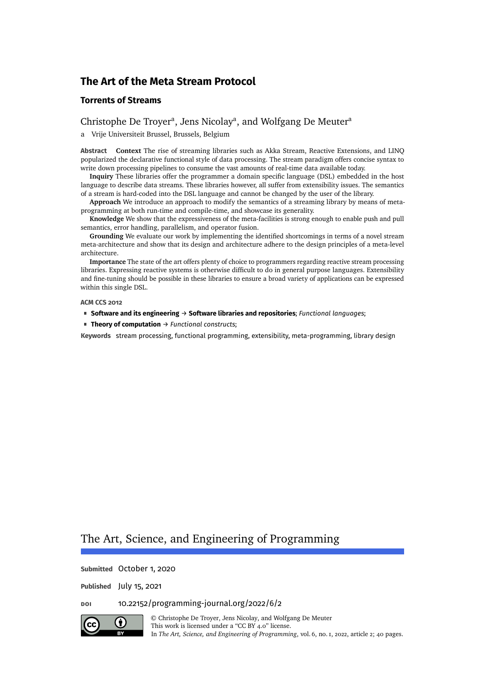# **Torrents of Streams**

# Christophe De Trover<sup>a</sup>, Jens Nicolav<sup>a</sup>, and [Wolfgang De Meuter](#page-39-2)<sup>a</sup>

a Vrije Universiteit Brussel, Brussels, Belgium

**Abstract Context** The rise of streaming libraries such as Akka Stream, Reactive Extensions, and LINQ popularized the declarative functional style of data processing. The stream paradigm offers concise syntax to write down processing pipelines to consume the vast amounts of real-time data available today.

**Inquiry** These libraries offer the programmer a domain specific language (DSL) embedded in the host language to describe data streams. These libraries however, all suffer from extensibility issues. The semantics of a stream is hard-coded into the DSL language and cannot be changed by the user of the library.

**Approach** We introduce an approach to modify the semantics of a streaming library by means of metaprogramming at both run-time and compile-time, and showcase its generality.

**Knowledge** We show that the expressiveness of the meta-facilities is strong enough to enable push and pull semantics, error handling, parallelism, and operator fusion.

**Grounding** We evaluate our work by implementing the identified shortcomings in terms of a novel stream meta-architecture and show that its design and architecture adhere to the design principles of a meta-level architecture.

**Importance** The state of the art offers plenty of choice to programmers regarding reactive stream processing libraries. Expressing reactive systems is otherwise difficult to do in general purpose languages. Extensibility and fine-tuning should be possible in these libraries to ensure a broad variety of applications can be expressed within this single DSL.

**ACM CCS 2012**

- **Software and its engineering** → **Software libraries and repositories**; *Functional languages*;
- **Theory of computation** → *Functional constructs*;

**Keywords** stream processing, functional programming, extensibility, meta-programming, library design

# The Art, Science, and Engineering of Programming

**Submitted** October 1, 2020

**Published** July 15, 2021

**doi** [10.22152/programming-journal.org/2022/6/2](https://doi.org/10.22152/programming-journal.org/2022/6/2)



© [Christophe De Troyer,](#page-39-0) [Jens Nicolay,](#page-39-1) and [Wolfgang De Meuter](#page-39-2) This work is licensed under a ["CC BY 4.0"](https://creativecommons.org/licenses/by/4.0/deed.en) license. In *The Art, Science, and Engineering of Programming*, vol. 6, no. 1, 2022, article 2; [40](#page-39-3) pages.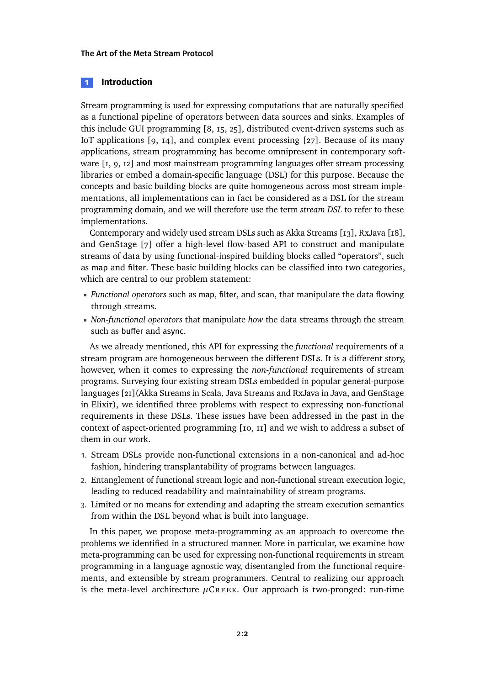# <span id="page-1-0"></span>**1 Introduction**

Stream programming is used for expressing computations that are naturally specified as a functional pipeline of operators between data sources and sinks. Examples of this include GUI programming [\[8,](#page-27-0) [15,](#page-27-1) [25\]](#page-28-0), distributed event-driven systems such as IoT applications [\[9,](#page-27-2) [14\]](#page-27-3), and complex event processing [\[27\]](#page-28-1). Because of its many applications, stream programming has become omnipresent in contemporary soft-ware [\[1,](#page-26-0) [9,](#page-27-2) [12\]](#page-27-4) and most mainstream programming languages offer stream processing libraries or embed a domain-specific language (DSL) for this purpose. Because the concepts and basic building blocks are quite homogeneous across most stream implementations, all implementations can in fact be considered as a DSL for the stream programming domain, and we will therefore use the term *stream DSL* to refer to these implementations.

Contemporary and widely used stream DSLs such as Akka Streams [\[13\]](#page-27-5), RxJava [\[18\]](#page-28-2), and GenStage [\[7\]](#page-27-6) offer a high-level flow-based API to construct and manipulate streams of data by using functional-inspired building blocks called "operators", such as map and filter. These basic building blocks can be classified into two categories, which are central to our problem statement:

- *Functional operators* such as map, filter, and scan, that manipulate the data flowing through streams.
- *Non-functional operators* that manipulate *how* the data streams through the stream such as buffer and async.

As we already mentioned, this API for expressing the *functional* requirements of a stream program are homogeneous between the different DSLs. It is a different story, however, when it comes to expressing the *non-functional* requirements of stream programs. Surveying four existing stream DSLs embedded in popular general-purpose languages [\[21\]](#page-28-3)(Akka Streams in Scala, Java Streams and RxJava in Java, and GenStage in Elixir), we identified three problems with respect to expressing non-functional requirements in these DSLs. These issues have been addressed in the past in the context of aspect-oriented programming [\[10,](#page-27-7) [11\]](#page-27-8) and we wish to address a subset of them in our work.

- 1. Stream DSLs provide non-functional extensions in a non-canonical and ad-hoc fashion, hindering transplantability of programs between languages.
- 2. Entanglement of functional stream logic and non-functional stream execution logic, leading to reduced readability and maintainability of stream programs.
- 3. Limited or no means for extending and adapting the stream execution semantics from within the DSL beyond what is built into language.

In this paper, we propose meta-programming as an approach to overcome the problems we identified in a structured manner. More in particular, we examine how meta-programming can be used for expressing non-functional requirements in stream programming in a language agnostic way, disentangled from the functional requirements, and extensible by stream programmers. Central to realizing our approach is the meta-level architecture  $\mu$ CREEK. Our approach is two-pronged: run-time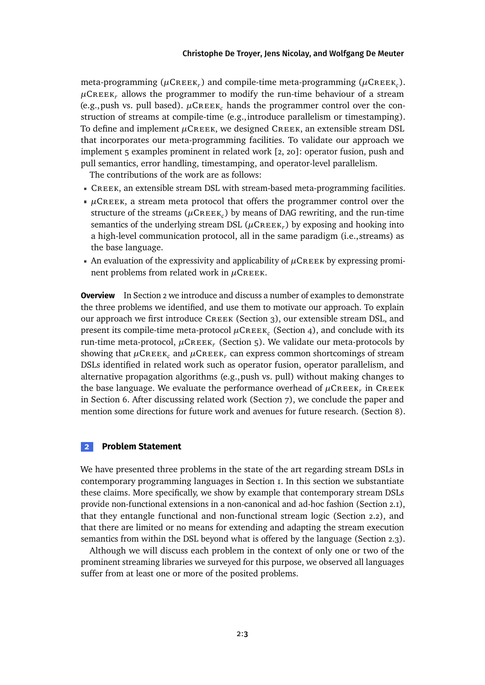meta-programming  $(\mu$ CREEK<sub>r</sub>) and compile-time meta-programming  $(\mu$ CREEK<sub>c</sub>).  $\mu$ CREEK<sub>r</sub> allows the programmer to modify the run-time behaviour of a stream (e.g., push vs. pull based).  $\mu$ CREEK<sub>c</sub> hands the programmer control over the construction of streams at compile-time (e.g.,introduce parallelism or timestamping). To define and implement  $\mu$ CREEK, we designed CREEK, an extensible stream DSL that incorporates our meta-programming facilities. To validate our approach we implement 5 examples prominent in related work [\[2,](#page-26-1) [20\]](#page-28-4): operator fusion, push and pull semantics, error handling, timestamping, and operator-level parallelism.

The contributions of the work are as follows:

- Creek, an extensible stream DSL with stream-based meta-programming facilities.
- $\mu$ CREEK, a stream meta protocol that offers the programmer control over the structure of the streams ( $\mu$ CREEK<sub>c</sub>) by means of DAG rewriting, and the run-time semantics of the underlying stream DSL  $(\mu$ CREEK<sub>r</sub>) by exposing and hooking into a high-level communication protocol, all in the same paradigm (i.e.,streams) as the base language.
- An evaluation of the expressivity and applicability of  $\mu$ CREEK by expressing prominent problems from related work in *μ*CREEΚ.

**Overview** In [Section 2](#page-2-0) we introduce and discuss a number of examples to demonstrate the three problems we identified, and use them to motivate our approach. To explain our approach we first introduce CREEK [\(Section 3\)](#page-8-0), our extensible stream DSL, and present its compile-time meta-protocol  $\mu$ CREEK<sub>c</sub> [\(Section 4\)](#page-12-0), and conclude with its run-time meta-protocol, *<sup>µ</sup>*Creek*<sup>r</sup>* [\(Section 5\)](#page-17-0). We validate our meta-protocols by showing that  $\mu$ CREEK<sub>c</sub> and  $\mu$ CREEK<sub>r</sub> can express common shortcomings of stream DSLs identified in related work such as operator fusion, operator parallelism, and alternative propagation algorithms (e.g.,push vs. pull) without making changes to the base language. We evaluate the performance overhead of  $\mu$ C $\kappa$ eek<sub>r</sub> in C $\kappa$ eek in [Section 6.](#page-22-0) After discussing related work [\(Section 7\)](#page-23-0), we conclude the paper and mention some directions for future work and avenues for future research. [\(Section 8\)](#page-25-0).

#### <span id="page-2-0"></span>**2 Problem Statement**

We have presented three problems in the state of the art regarding stream DSLs in contemporary programming languages in [Section 1.](#page-1-0) In this section we substantiate these claims. More specifically, we show by example that contemporary stream DSLs provide non-functional extensions in a non-canonical and ad-hoc fashion [\(Section 2.1\)](#page-3-0), that they entangle functional and non-functional stream logic [\(Section 2.2\)](#page-5-0), and that there are limited or no means for extending and adapting the stream execution semantics from within the DSL beyond what is offered by the language [\(Section 2.3\)](#page-6-0).

Although we will discuss each problem in the context of only one or two of the prominent streaming libraries we surveyed for this purpose, we observed all languages suffer from at least one or more of the posited problems.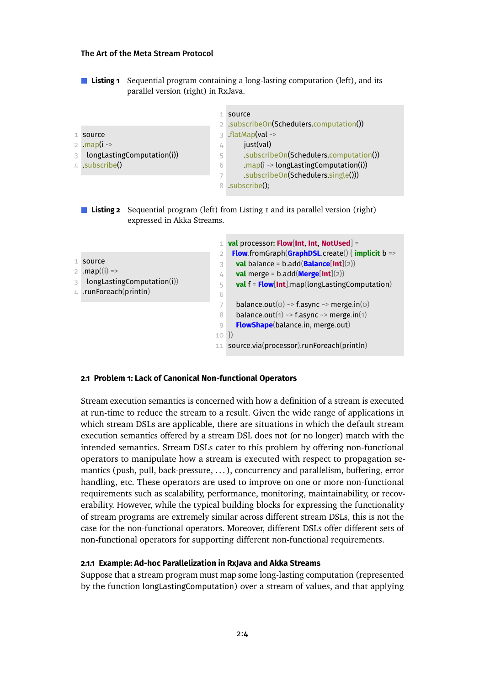■ **Listing 1** Sequential program containing a long-lasting computation (left), and its parallel version (right) in RxJava.

<span id="page-3-1"></span>

|                                 |                          | source<br>2 subscribeOn(Schedulers.computation())    |
|---------------------------------|--------------------------|------------------------------------------------------|
| $1$ source                      |                          | $3$ .flatMap(val ->                                  |
| 2 .map( $i \rightarrow$         | 4                        | just(val)                                            |
| longLastingComputation(i))<br>3 | 5                        | .subscribeOn(Schedulers.computation())               |
| 4 $subscribed()$                | 6                        | .map( $i \rightarrow$ longLastingComputation( $i$ )) |
|                                 | $\overline{\phantom{a}}$ | subscribeOn(Schedulers.single()))                    |
|                                 |                          | 8 .subscribe():                                      |

**Listing 2** Sequential program (left) from [Listing 1](#page-3-1) and its parallel version (right) expressed in Akka Streams.

<span id="page-3-2"></span>

|                                     | 1 val processor: Flow[Int, Int, NotUsed] =                |
|-------------------------------------|-----------------------------------------------------------|
| $\overline{2}$                      | <b>Flow</b> .fromGraph(GraphDSL.create() { implicit $b =$ |
| $1$ source<br>3                     | <b>val</b> balance = b.add( <b>Balance</b> [Int](2))      |
| 2 .map((i) =><br>4                  | <b>val</b> merge = $b$ .add( <b>Merge</b> [Int](2))       |
| longLastingComputation(i)<br>3<br>5 | <b>val</b> $f = Flow[Int]$ .map(longLastingComputation)   |
| 4 .runForeach(println)<br>6         |                                                           |
| 7                                   | balance.out( $o$ ) ~> f.async ~> merge.in( $o$ )          |
| 8                                   | balance.out(1) ~> f.async ~> merge.in(1)                  |
| $\bigcirc$                          | FlowShape(balance.in, merge.out)                          |
|                                     | $10 \}$                                                   |
|                                     | 11 source.via(processor).runForeach(println)              |

# <span id="page-3-0"></span>**2.1 Problem 1: Lack of Canonical Non-functional Operators**

Stream execution semantics is concerned with how a definition of a stream is executed at run-time to reduce the stream to a result. Given the wide range of applications in which stream DSLs are applicable, there are situations in which the default stream execution semantics offered by a stream DSL does not (or no longer) match with the intended semantics. Stream DSLs cater to this problem by offering non-functional operators to manipulate how a stream is executed with respect to propagation semantics (push, pull, back-pressure, . . . ), concurrency and parallelism, buffering, error handling, etc. These operators are used to improve on one or more non-functional requirements such as scalability, performance, monitoring, maintainability, or recoverability. However, while the typical building blocks for expressing the functionality of stream programs are extremely similar across different stream DSLs, this is not the case for the non-functional operators. Moreover, different DSLs offer different sets of non-functional operators for supporting different non-functional requirements.

### **2.1.1 Example: Ad-hoc Parallelization in RxJava and Akka Streams**

Suppose that a stream program must map some long-lasting computation (represented by the function longLastingComputation) over a stream of values, and that applying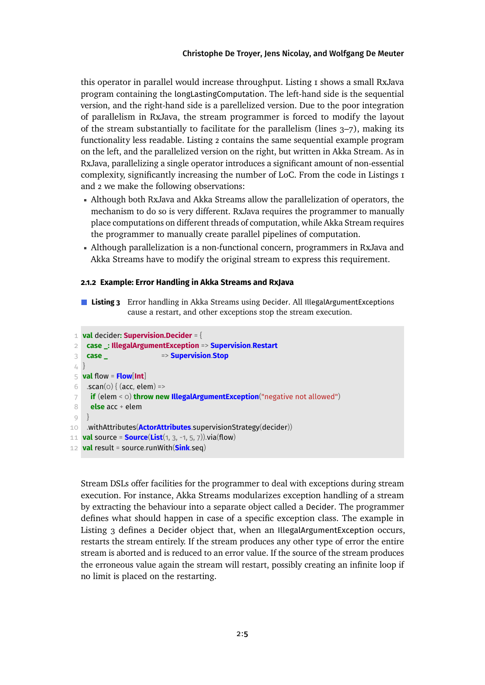this operator in parallel would increase throughput. [Listing 1](#page-3-1) shows a small RxJava program containing the longLastingComputation. The left-hand side is the sequential version, and the right-hand side is a parellelized version. Due to the poor integration of parallelism in RxJava, the stream programmer is forced to modify the layout of the stream substantially to facilitate for the parallelism (lines 3–7), making its functionality less readable. [Listing 2](#page-3-2) contains the same sequential example program on the left, and the parallelized version on the right, but written in Akka Stream. As in RxJava, parallelizing a single operator introduces a significant amount of non-essential complexity, significantly increasing the number of LoC. From the code in [Listings 1](#page-3-1) and [2](#page-3-2) we make the following observations:

- Although both RxJava and Akka Streams allow the parallelization of operators, the mechanism to do so is very different. RxJava requires the programmer to manually place computations on different threads of computation, while Akka Stream requires the programmer to manually create parallel pipelines of computation.
- Although parallelization is a non-functional concern, programmers in RxJava and Akka Streams have to modify the original stream to express this requirement.

### **2.1.2 Example: Error Handling in Akka Streams and RxJava**

**Listing 3** Error handling in Akka Streams using Decider. All IllegalArgumentExceptions cause a restart, and other exceptions stop the stream execution.

```
1 val decider: Supervision.Decider = {
 2 case _: IllegalArgumentException => Supervision.Restart
 3 case _ => Supervision.Stop
 4 }
 5 val flow = Flow[Int]
 6 \cdot .scan(o) { (acc, elem) =>
 7 if (elem < 0) throw new IllegalArgumentException("negative not allowed")
8 else acc + elem
9 }
10 .withAttributes(ActorAttributes.supervisionStrategy(decider))
11 val source = Source(List(1, 3, -1, 5, 7)).via(flow)
12 val result = source.runWith(Sink.seq)
```
Stream DSLs offer facilities for the programmer to deal with exceptions during stream execution. For instance, Akka Streams modularizes exception handling of a stream by extracting the behaviour into a separate object called a Decider. The programmer defines what should happen in case of a specific exception class. The example in [Listing 3](#page-4-0) defines a Decider object that, when an IllegalArgumentException occurs, restarts the stream entirely. If the stream produces any other type of error the entire stream is aborted and is reduced to an error value. If the source of the stream produces the erroneous value again the stream will restart, possibly creating an infinite loop if no limit is placed on the restarting.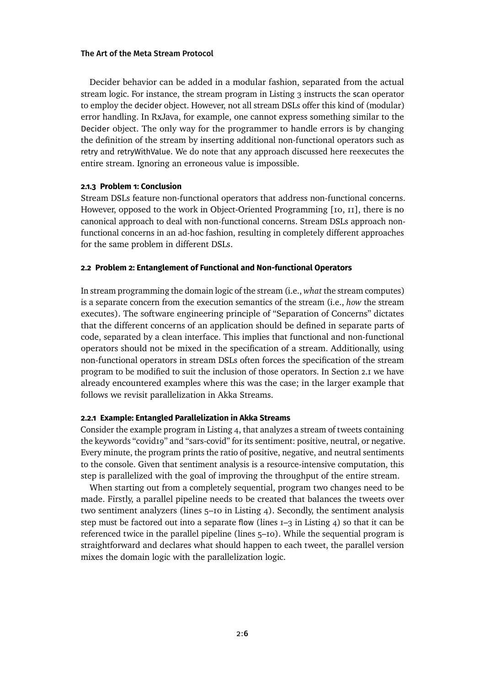Decider behavior can be added in a modular fashion, separated from the actual stream logic. For instance, the stream program in [Listing 3](#page-4-0) instructs the scan operator to employ the decider object. However, not all stream DSLs offer this kind of (modular) error handling. In RxJava, for example, one cannot express something similar to the Decider object. The only way for the programmer to handle errors is by changing the definition of the stream by inserting additional non-functional operators such as retry and retryWithValue. We do note that any approach discussed here reexecutes the entire stream. Ignoring an erroneous value is impossible.

# **2.1.3 Problem 1: Conclusion**

Stream DSLs feature non-functional operators that address non-functional concerns. However, opposed to the work in Object-Oriented Programming [\[10,](#page-27-7) [11\]](#page-27-8), there is no canonical approach to deal with non-functional concerns. Stream DSLs approach nonfunctional concerns in an ad-hoc fashion, resulting in completely different approaches for the same problem in different DSLs.

### <span id="page-5-0"></span>**2.2 Problem 2: Entanglement of Functional and Non-functional Operators**

In stream programming the domain logic of the stream (i.e., *what* the stream computes) is a separate concern from the execution semantics of the stream (i.e., *how* the stream executes). The software engineering principle of "Separation of Concerns" dictates that the different concerns of an application should be defined in separate parts of code, separated by a clean interface. This implies that functional and non-functional operators should not be mixed in the specification of a stream. Additionally, using non-functional operators in stream DSLs often forces the specification of the stream program to be modified to suit the inclusion of those operators. In [Section 2.1](#page-3-0) we have already encountered examples where this was the case; in the larger example that follows we revisit parallelization in Akka Streams.

### **2.2.1 Example: Entangled Parallelization in Akka Streams**

Consider the example program in [Listing 4,](#page-6-1) that analyzes a stream of tweets containing the keywords "covid19" and "sars-covid" for its sentiment: positive, neutral, or negative. Every minute, the program prints the ratio of positive, negative, and neutral sentiments to the console. Given that sentiment analysis is a resource-intensive computation, this step is parallelized with the goal of improving the throughput of the entire stream.

When starting out from a completely sequential, program two changes need to be made. Firstly, a parallel pipeline needs to be created that balances the tweets over two sentiment analyzers (lines 5–10 in [Listing 4\)](#page-6-1). Secondly, the sentiment analysis step must be factored out into a separate flow (lines  $I=3$  in [Listing 4\)](#page-6-1) so that it can be referenced twice in the parallel pipeline (lines 5–10). While the sequential program is straightforward and declares what should happen to each tweet, the parallel version mixes the domain logic with the parallelization logic.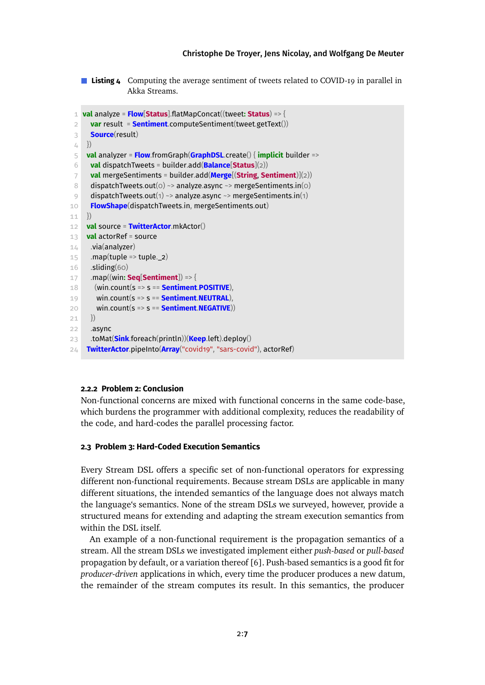**Listing 4** Computing the average sentiment of tweets related to COVID-19 in parallel in Akka Streams.

```
1 val analyze = Flow[Status].flatMapConcat((tweet: Status) => {
 2 var result = Sentiment.computeSentiment(tweet.getText())
 3 Source(result)
 4 })
 5 val analyzer = Flow.fromGraph(GraphDSL.create() { implicit builder =>
 6 val dispatchTweets = builder.add(Balance[Status](2))
 7 val mergeSentiments = builder.add(Merge[(String, Sentiment)](2))
 8 dispatchTweets.out(o) ~> analyze.async ~> mergeSentiments.in(o)
 9 dispatchTweets.out(1) \sim analyze.async \sim mergeSentiments.in(1)
10 FlowShape(dispatchTweets.in, mergeSentiments.out)
11 })
12 val source = TwitterActor.mkActor()
13 val actorRef = source
14 .via(analyzer)
15 \ldots map(tuple => tuple._2)
16 .sliding(60)
17 .map((win: Seq[Sentiment]) => {
18 (win.count(s => s == Sentiment.POSITIVE),
19 win.count(s => s == Sentiment.NEUTRAL),
20 win.count(s => s == Sentiment.NEGATIVE))
21 })
22 .async
23 .toMat(Sink.foreach(println))(Keep.left).deploy()
24 TwitterActor.pipeInto(Array("covid19", "sars-covid"), actorRef)
```
# **2.2.2 Problem 2: Conclusion**

Non-functional concerns are mixed with functional concerns in the same code-base, which burdens the programmer with additional complexity, reduces the readability of the code, and hard-codes the parallel processing factor.

# <span id="page-6-0"></span>**2.3 Problem 3: Hard-Coded Execution Semantics**

Every Stream DSL offers a specific set of non-functional operators for expressing different non-functional requirements. Because stream DSLs are applicable in many different situations, the intended semantics of the language does not always match the language's semantics. None of the stream DSLs we surveyed, however, provide a structured means for extending and adapting the stream execution semantics from within the DSL itself.

An example of a non-functional requirement is the propagation semantics of a stream. All the stream DSLs we investigated implement either *push-based* or *pull-based* propagation by default, or a variation thereof [\[6\]](#page-27-9). Push-based semantics is a good fit for *producer-driven* applications in which, every time the producer produces a new datum, the remainder of the stream computes its result. In this semantics, the producer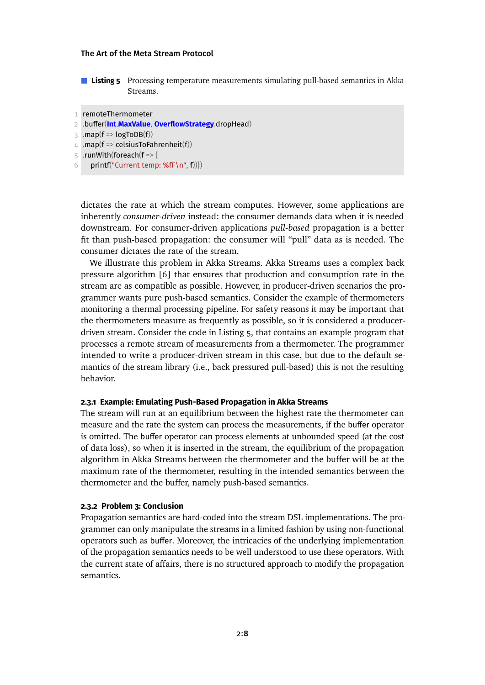**Listing 5** Processing temperature measurements simulating pull-based semantics in Akka Streams.

```
1 remoteThermometer
```

```
2 .buer(Int.MaxValue, OverflowStrategy.dropHead)
```
 $3$  .map(f => logToDB(f))

```
4 .map(f => celsiusToFahrenheit(f))
```
5 .runWith(foreach(f => {

```
6 printf("Current temp: %fF\n", f))})
```
dictates the rate at which the stream computes. However, some applications are inherently *consumer-driven* instead: the consumer demands data when it is needed downstream. For consumer-driven applications *pull-based* propagation is a better fit than push-based propagation: the consumer will "pull" data as is needed. The consumer dictates the rate of the stream.

We illustrate this problem in Akka Streams. Akka Streams uses a complex back pressure algorithm [\[6\]](#page-27-9) that ensures that production and consumption rate in the stream are as compatible as possible. However, in producer-driven scenarios the programmer wants pure push-based semantics. Consider the example of thermometers monitoring a thermal processing pipeline. For safety reasons it may be important that the thermometers measure as frequently as possible, so it is considered a producerdriven stream. Consider the code in [Listing 5,](#page-7-0) that contains an example program that processes a remote stream of measurements from a thermometer. The programmer intended to write a producer-driven stream in this case, but due to the default semantics of the stream library (i.e., back pressured pull-based) this is not the resulting behavior.

### **2.3.1 Example: Emulating Push-Based Propagation in Akka Streams**

The stream will run at an equilibrium between the highest rate the thermometer can measure and the rate the system can process the measurements, if the buffer operator is omitted. The buffer operator can process elements at unbounded speed (at the cost of data loss), so when it is inserted in the stream, the equilibrium of the propagation algorithm in Akka Streams between the thermometer and the buffer will be at the maximum rate of the thermometer, resulting in the intended semantics between the thermometer and the buffer, namely push-based semantics.

### **2.3.2 Problem 3: Conclusion**

Propagation semantics are hard-coded into the stream DSL implementations. The programmer can only manipulate the streams in a limited fashion by using non-functional operators such as buffer. Moreover, the intricacies of the underlying implementation of the propagation semantics needs to be well understood to use these operators. With the current state of affairs, there is no structured approach to modify the propagation semantics.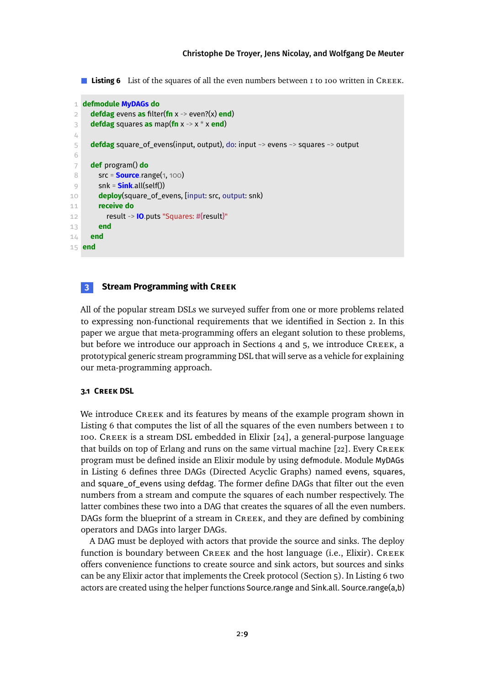<span id="page-8-1"></span>**Listing 6** List of the squares of all the even numbers between 1 to 100 written in CREEK.

```
1 defmodule MyDAGs do
 2 defdag evens as filter(fn x -> even?(x) end)
 3 defdag squares as map(fn x -> x * x end)
 4
5 defdag square_of_evens(input, output), do: input ~> evens ~> squares ~> output
6
 7 def program() do
8 src = Source.range(1, 100)
9 snk = Sink.all(self())
10 deploy(square_of_evens, [input: src, output: snk)
11 receive do
12 result -> IO.puts "Squares: #{result}"
13 end
14 end
15 end
```
# <span id="page-8-0"></span>**3 Stream Programming with Creek**

All of the popular stream DSLs we surveyed suffer from one or more problems related to expressing non-functional requirements that we identified in [Section 2.](#page-2-0) In this paper we argue that meta-programming offers an elegant solution to these problems, but before we introduce our approach in [Sections 4](#page-12-0) and [5,](#page-17-0) we introduce CREEK, a prototypical generic stream programming DSL that will serve as a vehicle for explaining our meta-programming approach.

# **3.1 Creek DSL**

We introduce CREEK and its features by means of the example program shown in [Listing 6](#page-8-1) that computes the list of all the squares of the even numbers between 1 to 100. Creek is a stream DSL embedded in Elixir [\[24\]](#page-28-5), a general-purpose language that builds on top of Erlang and runs on the same virtual machine [\[22\]](#page-28-6). Every CREEK program must be defined inside an Elixir module by using defmodule. Module MyDAGs in [Listing 6](#page-8-1) defines three DAGs (Directed Acyclic Graphs) named evens, squares, and square\_of\_evens using defdag. The former define DAGs that filter out the even numbers from a stream and compute the squares of each number respectively. The latter combines these two into a DAG that creates the squares of all the even numbers. DAGs form the blueprint of a stream in Creek, and they are defined by combining operators and DAGs into larger DAGs.

A DAG must be deployed with actors that provide the source and sinks. The deploy function is boundary between Creek and the host language (i.e., Elixir). Creek offers convenience functions to create source and sink actors, but sources and sinks can be any Elixir actor that implements the Creek protocol [\(Section 5\)](#page-17-0). In [Listing 6](#page-8-1) two actors are created using the helper functions Source.range and Sink.all. Source.range(a,b)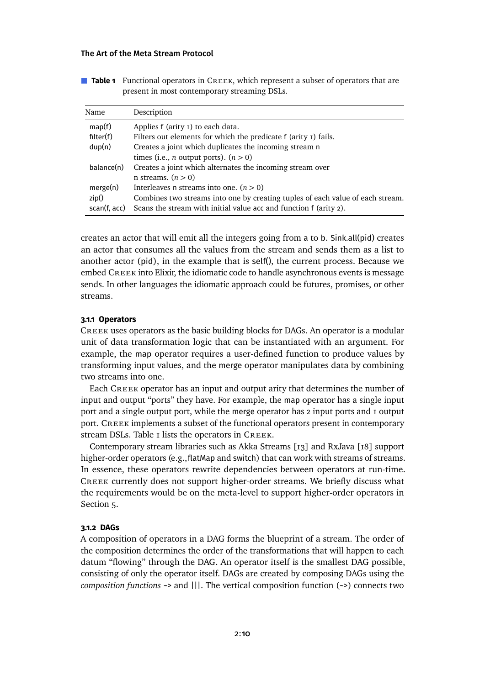| <b>Table 1</b> Functional operators in CREEK, which represent a subset of operators that are |
|----------------------------------------------------------------------------------------------|
| present in most contemporary streaming DSLs.                                                 |

<span id="page-9-0"></span>

| Name         | Description                                                                    |  |  |
|--------------|--------------------------------------------------------------------------------|--|--|
| map(f)       | Applies f (arity I) to each data.                                              |  |  |
| filter(f)    | Filters out elements for which the predicate f (arity I) fails.                |  |  |
| dup(n)       | Creates a joint which duplicates the incoming stream n                         |  |  |
|              | times (i.e., <i>n</i> output ports). $(n > 0)$                                 |  |  |
| balance(n)   | Creates a joint which alternates the incoming stream over                      |  |  |
|              | n streams. $(n > 0)$                                                           |  |  |
| merge(n)     | Interleaves n streams into one. $(n > 0)$                                      |  |  |
| zip()        | Combines two streams into one by creating tuples of each value of each stream. |  |  |
| scan(f, acc) | Scans the stream with initial value acc and function f (arity 2).              |  |  |

creates an actor that will emit all the integers going from a to b. Sink.all(pid) creates an actor that consumes all the values from the stream and sends them as a list to another actor (pid), in the example that is self(), the current process. Because we embed CREEK into Elixir, the idiomatic code to handle asynchronous events is message sends. In other languages the idiomatic approach could be futures, promises, or other streams.

### **3.1.1 Operators**

Creek uses operators as the basic building blocks for DAGs. An operator is a modular unit of data transformation logic that can be instantiated with an argument. For example, the map operator requires a user-defined function to produce values by transforming input values, and the merge operator manipulates data by combining two streams into one.

Each Creek operator has an input and output arity that determines the number of input and output "ports" they have. For example, the map operator has a single input port and a single output port, while the merge operator has 2 input ports and 1 output port. Creek implements a subset of the functional operators present in contemporary stream DSLs. Table I lists the operators in CREEK.

Contemporary stream libraries such as Akka Streams [\[13\]](#page-27-5) and RxJava [\[18\]](#page-28-2) support higher-order operators (e.g., flatMap and switch) that can work with streams of streams. In essence, these operators rewrite dependencies between operators at run-time. Creek currently does not support higher-order streams. We briefly discuss what the requirements would be on the meta-level to support higher-order operators in [Section 5.](#page-17-0)

#### **3.1.2 DAGs**

A composition of operators in a DAG forms the blueprint of a stream. The order of the composition determines the order of the transformations that will happen to each datum "flowing" through the DAG. An operator itself is the smallest DAG possible, consisting of only the operator itself. DAGs are created by composing DAGs using the *composition functions* ~> and |||. The vertical composition function (~>) connects two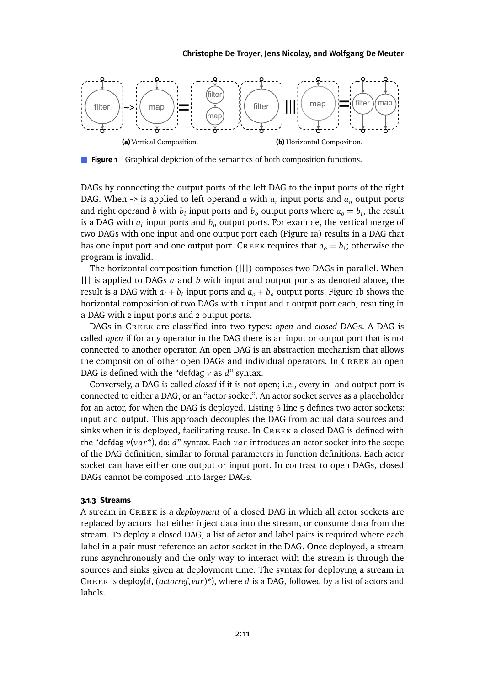<span id="page-10-0"></span>

**Figure 1** Graphical depiction of the semantics of both composition functions.

DAGs by connecting the output ports of the left DAG to the input ports of the right DAG. When  $\sim$  is applied to left operand *a* with  $a_i$  input ports and  $a_o$  output ports and right operand *b* with  $b_i$  input ports and  $b_o$  output ports where  $a_o = b_i$ , the result is a DAG with  $a_i$  input ports and  $b_o$  output ports. For example, the vertical merge of two DAGs with one input and one output port each [\(Figure 1a\)](#page-10-0) results in a DAG that has one input port and one output port. CREEK requires that  $a_o = b_i$ ; otherwise the program is invalid.

The horizontal composition function (|||) composes two DAGs in parallel. When ||| is applied to DAGs *a* and *b* with input and output ports as denoted above, the result is a DAG with  $a_i + b_i$  input ports and  $a_o + b_o$  output ports. [Figure 1b](#page-10-0) shows the horizontal composition of two DAGs with 1 input and 1 output port each, resulting in a DAG with 2 input ports and 2 output ports.

DAGs in Creek are classified into two types: *open* and *closed* DAGs. A DAG is called *open* if for any operator in the DAG there is an input or output port that is not connected to another operator. An open DAG is an abstraction mechanism that allows the composition of other open DAGs and individual operators. In Creek an open DAG is defined with the "defdag *v* as *d*" syntax.

Conversely, a DAG is called *closed* if it is not open; i.e., every in- and output port is connected to either a DAG, or an "actor socket". An actor socket serves as a placeholder for an actor, for when the DAG is deployed. [Listing 6](#page-8-1) line 5 defines two actor sockets: input and output. This approach decouples the DAG from actual data sources and sinks when it is deployed, facilitating reuse. In CREEK a closed DAG is defined with the "defdag *v*(*var*\*), do: *d*" syntax. Each *var* introduces an actor socket into the scope of the DAG definition, similar to formal parameters in function definitions. Each actor socket can have either one output or input port. In contrast to open DAGs, closed DAGs cannot be composed into larger DAGs.

### **3.1.3 Streams**

A stream in Creek is a *deployment* of a closed DAG in which all actor sockets are replaced by actors that either inject data into the stream, or consume data from the stream. To deploy a closed DAG, a list of actor and label pairs is required where each label in a pair must reference an actor socket in the DAG. Once deployed, a stream runs asynchronously and the only way to interact with the stream is through the sources and sinks given at deployment time. The syntax for deploying a stream in Creek is deploy(*d*, (*actorref*, *var*)\*), where *<sup>d</sup>* is a DAG, followed by a list of actors and labels.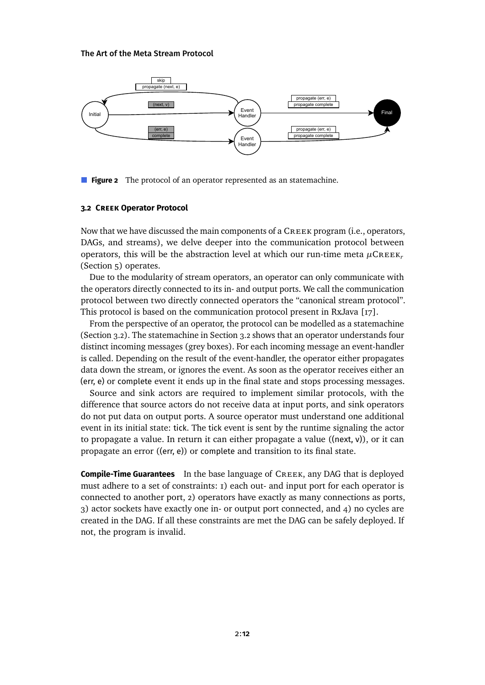<span id="page-11-0"></span>

**Figure 2** The protocol of an operator represented as an statemachine.

### <span id="page-11-1"></span>**3.2 Creek Operator Protocol**

Now that we have discussed the main components of a Creek program (i.e., operators, DAGs, and streams), we delve deeper into the communication protocol between operators, this will be the abstraction level at which our run-time meta *<sup>µ</sup>*Creek*<sup>r</sup>* [\(Section 5\)](#page-17-0) operates.

Due to the modularity of stream operators, an operator can only communicate with the operators directly connected to its in- and output ports. We call the communication protocol between two directly connected operators the "canonical stream protocol". This protocol is based on the communication protocol present in RxJava [\[17\]](#page-28-7).

From the perspective of an operator, the protocol can be modelled as a statemachine [\(Section 3.2\)](#page-11-0). The statemachine in [Section 3.2](#page-11-0) shows that an operator understands four distinct incoming messages (grey boxes). For each incoming message an event-handler is called. Depending on the result of the event-handler, the operator either propagates data down the stream, or ignores the event. As soon as the operator receives either an (err, e) or complete event it ends up in the final state and stops processing messages.

Source and sink actors are required to implement similar protocols, with the difference that source actors do not receive data at input ports, and sink operators do not put data on output ports. A source operator must understand one additional event in its initial state: tick. The tick event is sent by the runtime signaling the actor to propagate a value. In return it can either propagate a value ( $(\text{next}, \text{v})$ ), or it can propagate an error ((err, e)) or complete and transition to its final state.

**Compile-Time Guarantees** In the base language of CREEK, any DAG that is deployed must adhere to a set of constraints: 1) each out- and input port for each operator is connected to another port, 2) operators have exactly as many connections as ports, 3) actor sockets have exactly one in- or output port connected, and 4) no cycles are created in the DAG. If all these constraints are met the DAG can be safely deployed. If not, the program is invalid.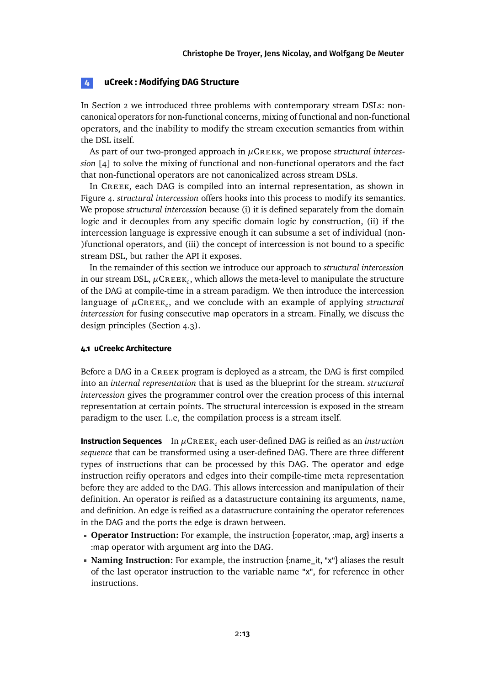# <span id="page-12-0"></span>**4 uCreek : Modifying DAG Structure**

In [Section 2](#page-2-0) we introduced three problems with contemporary stream DSLs: noncanonical operators for non-functional concerns, mixing of functional and non-functional operators, and the inability to modify the stream execution semantics from within the DSL itself.

As part of our two-pronged approach in *µ*Creek, we propose *structural intercession* [\[4\]](#page-26-2) to solve the mixing of functional and non-functional operators and the fact that non-functional operators are not canonicalized across stream DSLs.

In Creek, each DAG is compiled into an internal representation, as shown in [Figure 4.](#page-13-0) *structural intercession* offers hooks into this process to modify its semantics. We propose *structural intercession* because (i) it is defined separately from the domain logic and it decouples from any specific domain logic by construction, (ii) if the intercession language is expressive enough it can subsume a set of individual (non- )functional operators, and (iii) the concept of intercession is not bound to a specific stream DSL, but rather the API it exposes.

In the remainder of this section we introduce our approach to *structural intercession* in our stream DSL,  $\mu$ C $\kappa$ e $\kappa_c$ , which allows the meta-level to manipulate the structure of the DAG at compile-time in a stream paradigm. We then introduce the intercession language of *<sup>µ</sup>*Creek*<sup>c</sup>* , and we conclude with an example of applying *structural intercession* for fusing consecutive map operators in a stream. Finally, we discuss the design principles [\(Section 4.3\)](#page-16-0).

### **4.1 uCreekc Architecture**

Before a DAG in a Creek program is deployed as a stream, the DAG is first compiled into an *internal representation* that is used as the blueprint for the stream. *structural intercession* gives the programmer control over the creation process of this internal representation at certain points. The structural intercession is exposed in the stream paradigm to the user. I..e, the compilation process is a stream itself.

**Instruction Sequences** In  $\mu$ CREEK<sub>c</sub> each user-defined DAG is reified as an *instruction sequence* that can be transformed using a user-defined DAG. There are three different types of instructions that can be processed by this DAG. The operator and edge instruction reifiy operators and edges into their compile-time meta representation before they are added to the DAG. This allows intercession and manipulation of their definition. An operator is reified as a datastructure containing its arguments, name, and definition. An edge is reified as a datastructure containing the operator references in the DAG and the ports the edge is drawn between.

- **Operator Instruction:** For example, the instruction {:operator, :map, arg} inserts a :map operator with argument arg into the DAG.
- **Naming Instruction:** For example, the instruction {:name\_it, "x"} aliases the result of the last operator instruction to the variable name "x", for reference in other instructions.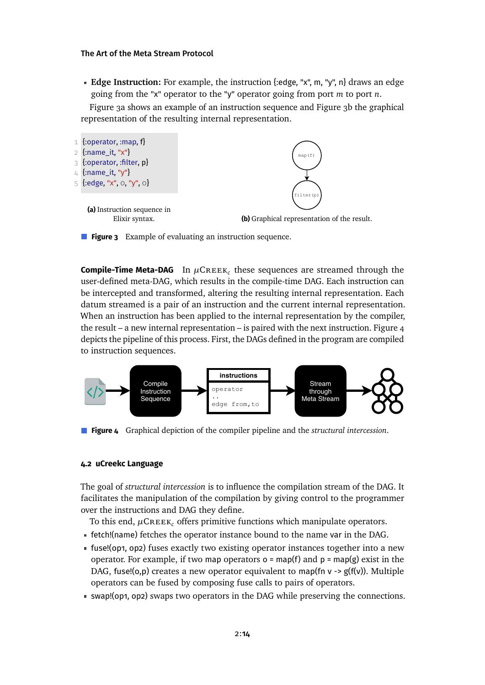**Edge Instruction:** For example, the instruction {:edge, "x", m, "y", n} draws an edge going from the "x" operator to the "y" operator going from port *m* to port *n*.

[Figure 3a](#page-13-1) shows an example of an instruction sequence and [Figure 3b](#page-13-1) the graphical representation of the resulting internal representation.

<span id="page-13-1"></span>

**Figure 3** Example of evaluating an instruction sequence.

<span id="page-13-2"></span>**Compile-Time Meta-DAG** In  $\mu$ CREEK<sub>c</sub> these sequences are streamed through the user-defined meta-DAG, which results in the compile-time DAG. Each instruction can be intercepted and transformed, altering the resulting internal representation. Each datum streamed is a pair of an instruction and the current internal representation. When an instruction has been applied to the internal representation by the compiler, the result – a new internal representation – is paired with the next instruction. [Figure 4](#page-13-0) depicts the pipeline of this process. First, the DAGs defined in the program are compiled to instruction sequences.

<span id="page-13-0"></span>

**Figure 4** Graphical depiction of the compiler pipeline and the *structural intercession*.

### **4.2 uCreekc Language**

The goal of *structural intercession* is to influence the compilation stream of the DAG. It facilitates the manipulation of the compilation by giving control to the programmer over the instructions and DAG they define.

To this end,  $\mu$ CREEK<sub>c</sub> offers primitive functions which manipulate operators.

- fetch!(name) fetches the operator instance bound to the name var in the DAG.
- fuse!(op1, op2) fuses exactly two existing operator instances together into a new operator. For example, if two map operators  $o = \text{map}(f)$  and  $p = \text{map}(g)$  exist in the DAG, fuse!(o,p) creates a new operator equivalent to map(fn  $v \rightarrow g(f(v))$ . Multiple operators can be fused by composing fuse calls to pairs of operators.
- swap!(op1, op2) swaps two operators in the DAG while preserving the connections.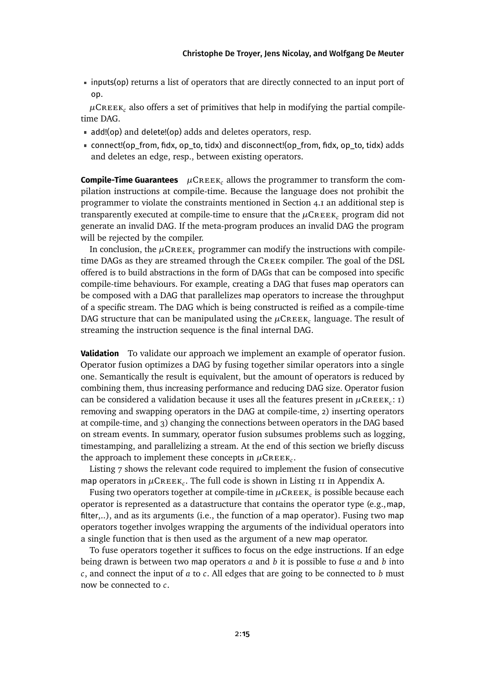inputs(op) returns a list of operators that are directly connected to an input port of op.

 $\mu$ CREEK<sub>c</sub> also offers a set of primitives that help in modifying the partial compiletime DAG.

- add!(op) and delete!(op) adds and deletes operators, resp.
- connect!(op\_from, fidx, op\_to, tidx) and disconnect!(op\_from, fidx, op\_to, tidx) adds and deletes an edge, resp., between existing operators.

**Compile-Time Guarantees**  $\mu$ CREEK<sub>c</sub> allows the programmer to transform the compilation instructions at compile-time. Because the language does not prohibit the programmer to violate the constraints mentioned in [Section 4.1](#page-13-2) an additional step is transparently executed at compile-time to ensure that the  $\mu$ CREEK<sub>c</sub> program did not generate an invalid DAG. If the meta-program produces an invalid DAG the program will be rejected by the compiler.

In conclusion, the  $\mu$ CREEK<sub>c</sub> programmer can modify the instructions with compiletime DAGs as they are streamed through the Creek compiler. The goal of the DSL offered is to build abstractions in the form of DAGs that can be composed into specific compile-time behaviours. For example, creating a DAG that fuses map operators can be composed with a DAG that parallelizes map operators to increase the throughput of a specific stream. The DAG which is being constructed is reified as a compile-time DAG structure that can be manipulated using the  $\mu$ CREEK<sub>c</sub> language. The result of streaming the instruction sequence is the final internal DAG.

**Validation** To validate our approach we implement an example of operator fusion. Operator fusion optimizes a DAG by fusing together similar operators into a single one. Semantically the result is equivalent, but the amount of operators is reduced by combining them, thus increasing performance and reducing DAG size. Operator fusion can be considered a validation because it uses all the features present in  $\mu$ CREEK<sub>c</sub>: 1) removing and swapping operators in the DAG at compile-time, 2) inserting operators at compile-time, and 3) changing the connections between operators in the DAG based on stream events. In summary, operator fusion subsumes problems such as logging, timestamping, and parallelizing a stream. At the end of this section we briefly discuss the approach to implement these concepts in  $\mu$ CREEK<sub>c</sub>.

[Listing 7](#page-15-0) shows the relevant code required to implement the fusion of consecutive map operators in  $\mu$ CREEK<sub>c</sub>. The full code is shown in [Listing 11](#page-29-0) in [Appendix A.](#page-29-1)

Fusing two operators together at compile-time in  $\mu\textsf{CREEK}_c$  is possible because each operator is represented as a datastructure that contains the operator type (e.g.,map, filter,..), and as its arguments (i.e., the function of a map operator). Fusing two map operators together involges wrapping the arguments of the individual operators into a single function that is then used as the argument of a new map operator.

To fuse operators together it suffices to focus on the edge instructions. If an edge being drawn is between two map operators *a* and *b* it is possible to fuse *a* and *b* into *c*, and connect the input of *a* to *c*. All edges that are going to be connected to *b* must now be connected to *c*.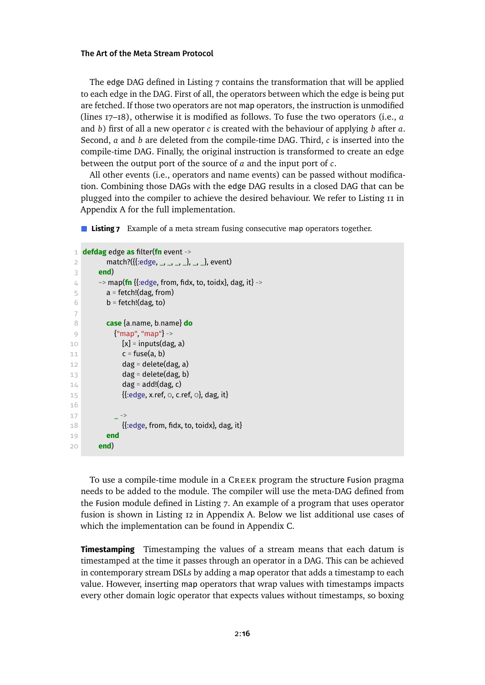The edge DAG defined in [Listing 7](#page-15-0) contains the transformation that will be applied to each edge in the DAG. First of all, the operators between which the edge is being put are fetched. If those two operators are not map operators, the instruction is unmodified (lines 17–18), otherwise it is modified as follows. To fuse the two operators (i.e., *a* and *b*) first of all a new operator *c* is created with the behaviour of applying *b* after *a*. Second, *a* and *b* are deleted from the compile-time DAG. Third, *c* is inserted into the compile-time DAG. Finally, the original instruction is transformed to create an edge between the output port of the source of *a* and the input port of *c*.

All other events (i.e., operators and name events) can be passed without modification. Combining those DAGs with the edge DAG results in a closed DAG that can be plugged into the compiler to achieve the desired behaviour. We refer to [Listing 11](#page-29-0) in [Appendix A](#page-29-1) for the full implementation.

<span id="page-15-0"></span>**Listing 7** Example of a meta stream fusing consecutive map operators together.

```
1 defdag edge as filter(fn event ->
 2 match?({{:edge, _, _, _, _}, _, _}, event)
 3 end)
 4 \rightarrow map(fn {{:edge, from, fidx, to, toidx}, dag, it} ->
 5 \qquad a = \text{fetch!}(daq, \text{from})6 b = fetch!(dag, to)
 7
8 case {a.name, b.name} do
9 {"map", "map"} ->
10 [x] = inputs(dag, a)
11 c = fuse(a, b)
12 dag = delete(dag, a)
13 dag = delete(dag, b)
14 dag = add!(dag, c)
15 {{:edge, x.ref, 0, c.ref, 0}, dag, it}
16
1718 {{:}edge, from, fidx, to, toidx}, dag, it}
19 end
20 end)
```
To use a compile-time module in a Creek program the structure Fusion pragma needs to be added to the module. The compiler will use the meta-DAG defined from the Fusion module defined in [Listing 7.](#page-15-0) An example of a program that uses operator fusion is shown in [Listing 12](#page-30-0) in [Appendix A.](#page-29-1) Below we list additional use cases of which the implementation can be found in [Appendix C.](#page-37-0)

**Timestamping** Timestamping the values of a stream means that each datum is timestamped at the time it passes through an operator in a DAG. This can be achieved in contemporary stream DSLs by adding a map operator that adds a timestamp to each value. However, inserting map operators that wrap values with timestamps impacts every other domain logic operator that expects values without timestamps, so boxing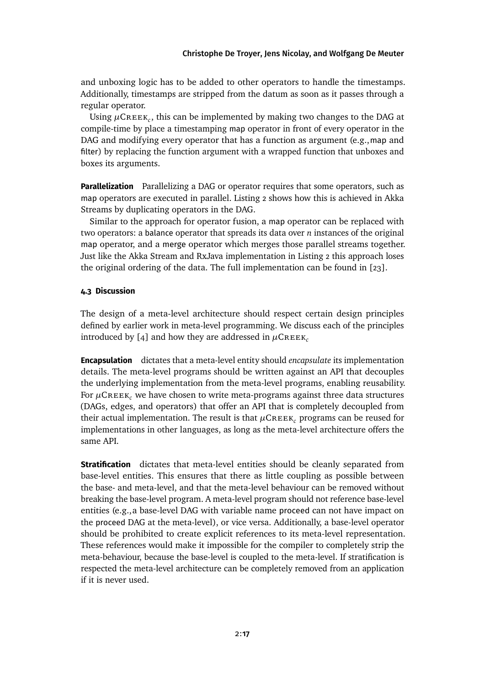and unboxing logic has to be added to other operators to handle the timestamps. Additionally, timestamps are stripped from the datum as soon as it passes through a regular operator.

Using  $\mu$ CREEK<sub>c</sub>, this can be implemented by making two changes to the DAG at compile-time by place a timestamping map operator in front of every operator in the DAG and modifying every operator that has a function as argument (e.g., map and filter) by replacing the function argument with a wrapped function that unboxes and boxes its arguments.

**Parallelization** Parallelizing a DAG or operator requires that some operators, such as map operators are executed in parallel. [Listing 2](#page-3-2) shows how this is achieved in Akka Streams by duplicating operators in the DAG.

Similar to the approach for operator fusion, a map operator can be replaced with two operators: a balance operator that spreads its data over *n* instances of the original map operator, and a merge operator which merges those parallel streams together. Just like the Akka Stream and RxJava implementation in [Listing 2](#page-3-2) this approach loses the original ordering of the data. The full implementation can be found in [\[23\]](#page-28-8).

# <span id="page-16-0"></span>**4.3 Discussion**

The design of a meta-level architecture should respect certain design principles defined by earlier work in meta-level programming. We discuss each of the principles introduced by [\[4\]](#page-26-2) and how they are addressed in  $\mu$ CREEK<sub>c</sub>

**Encapsulation** dictates that a meta-level entity should *encapsulate* its implementation details. The meta-level programs should be written against an API that decouples the underlying implementation from the meta-level programs, enabling reusability. For  $\mu$ CREEK<sub>c</sub> we have chosen to write meta-programs against three data structures (DAGs, edges, and operators) that offer an API that is completely decoupled from their actual implementation. The result is that  $\mu$ CREEK<sub>c</sub> programs can be reused for implementations in other languages, as long as the meta-level architecture offers the same API.

**Stratification** dictates that meta-level entities should be cleanly separated from base-level entities. This ensures that there as little coupling as possible between the base- and meta-level, and that the meta-level behaviour can be removed without breaking the base-level program. A meta-level program should not reference base-level entities (e.g.,a base-level DAG with variable name proceed can not have impact on the proceed DAG at the meta-level), or vice versa. Additionally, a base-level operator should be prohibited to create explicit references to its meta-level representation. These references would make it impossible for the compiler to completely strip the meta-behaviour, because the base-level is coupled to the meta-level. If stratification is respected the meta-level architecture can be completely removed from an application if it is never used.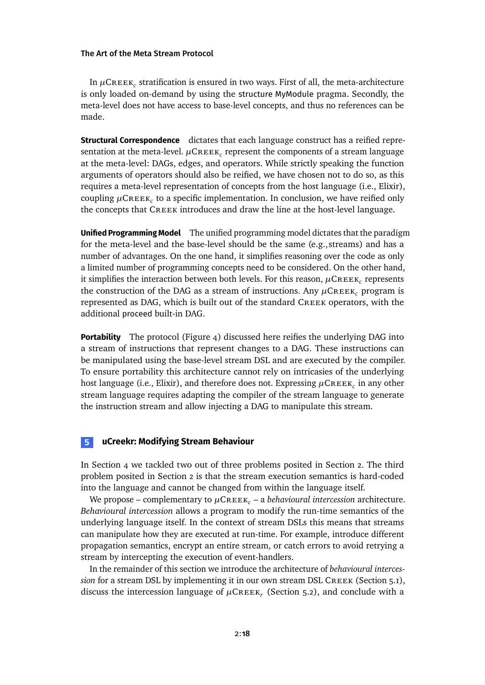In  $\mu$ C $\kappa$ e $\kappa_c$  stratification is ensured in two ways. First of all, the meta-architecture is only loaded on-demand by using the structure MyModule pragma. Secondly, the meta-level does not have access to base-level concepts, and thus no references can be made.

**Structural Correspondence** dictates that each language construct has a reified representation at the meta-level.  $\mu$ C $\kappa$ e $\kappa_c$  represent the components of a stream language at the meta-level: DAGs, edges, and operators. While strictly speaking the function arguments of operators should also be reified, we have chosen not to do so, as this requires a meta-level representation of concepts from the host language (i.e., Elixir), coupling  $\mu$ CREEK<sub>c</sub> to a specific implementation. In conclusion, we have reified only the concepts that CREEK introduces and draw the line at the host-level language.

**Unified Programming Model** The unified programming model dictates that the paradigm for the meta-level and the base-level should be the same (e.g.,streams) and has a number of advantages. On the one hand, it simplifies reasoning over the code as only a limited number of programming concepts need to be considered. On the other hand, it simplifies the interaction between both levels. For this reason,  $\mu$ CREEK<sub>c</sub> represents the construction of the DAG as a stream of instructions. Any  $\mu$ CREEK<sub>c</sub> program is represented as DAG, which is built out of the standard Creek operators, with the additional proceed built-in DAG.

**Portability** The protocol [\(Figure 4\)](#page-13-0) discussed here reifies the underlying DAG into a stream of instructions that represent changes to a DAG. These instructions can be manipulated using the base-level stream DSL and are executed by the compiler. To ensure portability this architecture cannot rely on intricasies of the underlying host language (i.e., Elixir), and therefore does not. Expressing  $\mu\textsf{CREEK}_c$  in any other stream language requires adapting the compiler of the stream language to generate the instruction stream and allow injecting a DAG to manipulate this stream.

# <span id="page-17-0"></span>**5 uCreekr: Modifying Stream Behaviour**

In [Section 4](#page-12-0) we tackled two out of three problems posited in [Section 2.](#page-2-0) The third problem posited in [Section 2](#page-2-0) is that the stream execution semantics is hard-coded into the language and cannot be changed from within the language itself.

We propose – complementary to  $\mu$ CREEK<sub>c</sub> – a *behavioural intercession* architecture. *Behavioural intercession* allows a program to modify the run-time semantics of the underlying language itself. In the context of stream DSLs this means that streams can manipulate how they are executed at run-time. For example, introduce different propagation semantics, encrypt an entire stream, or catch errors to avoid retrying a stream by intercepting the execution of event-handlers.

In the remainder of this section we introduce the architecture of *behavioural intercession* for a stream DSL by implementing it in our own stream DSL CREEK [\(Section 5.1\)](#page-18-0), discuss the intercession language of  $\mu$ CREEK<sub>r</sub> [\(Section 5.2\)](#page-18-1), and conclude with a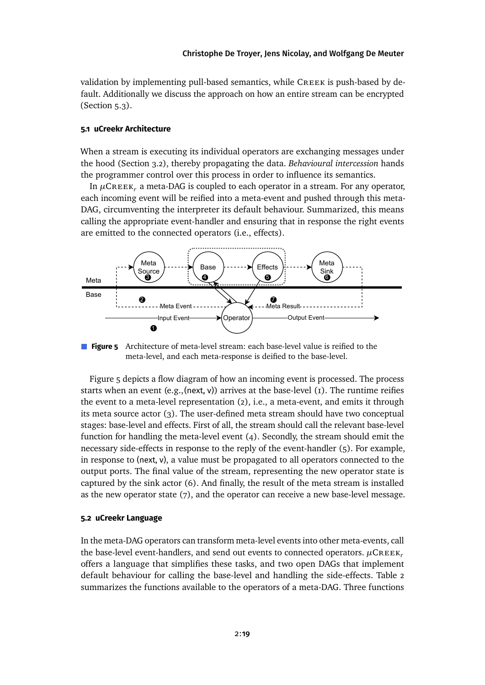validation by implementing pull-based semantics, while CREEK is push-based by default. Additionally we discuss the approach on how an entire stream can be encrypted [\(Section 5.3\)](#page-19-0).

# <span id="page-18-0"></span>**5.1 uCreekr Architecture**

When a stream is executing its individual operators are exchanging messages under the hood [\(Section 3.2\)](#page-11-1), thereby propagating the data. *Behavioural intercession* hands the programmer control over this process in order to influence its semantics.

In  $\mu$ CREEK<sub>r</sub> a meta-DAG is coupled to each operator in a stream. For any operator, each incoming event will be reified into a meta-event and pushed through this meta-DAG, circumventing the interpreter its default behaviour. Summarized, this means calling the appropriate event-handler and ensuring that in response the right events are emitted to the connected operators (i.e., effects).

<span id="page-18-2"></span>

**Figure 5** Architecture of meta-level stream: each base-level value is reified to the meta-level, and each meta-response is deified to the base-level.

[Figure 5](#page-18-2) depicts a flow diagram of how an incoming event is processed. The process starts when an event  $(e.g., (next, v))$  arrives at the base-level  $(i)$ . The runtime reifies the event to a meta-level representation (2), i.e., a meta-event, and emits it through its meta source actor (3). The user-defined meta stream should have two conceptual stages: base-level and effects. First of all, the stream should call the relevant base-level function for handling the meta-level event (4). Secondly, the stream should emit the necessary side-effects in response to the reply of the event-handler (5). For example, in response to (next, v), a value must be propagated to all operators connected to the output ports. The final value of the stream, representing the new operator state is captured by the sink actor (6). And finally, the result of the meta stream is installed as the new operator state (7), and the operator can receive a new base-level message.

#### <span id="page-18-1"></span>**5.2 uCreekr Language**

In the meta-DAG operators can transform meta-level events into other meta-events, call the base-level event-handlers, and send out events to connected operators.  $\mu$ CREEK<sub>r</sub> offers a language that simplifies these tasks, and two open DAGs that implement default behaviour for calling the base-level and handling the side-effects. [Table 2](#page-19-1) summarizes the functions available to the operators of a meta-DAG. Three functions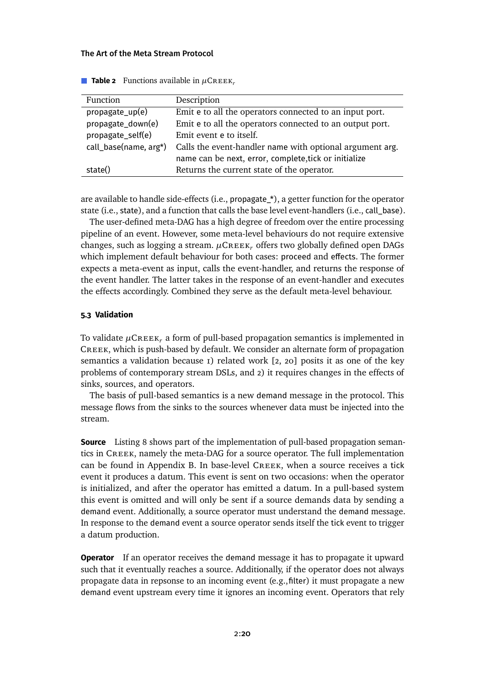<span id="page-19-1"></span>

| Function              | Description                                              |
|-----------------------|----------------------------------------------------------|
| propagate_up(e)       | Emit e to all the operators connected to an input port.  |
| propagate_down(e)     | Emit e to all the operators connected to an output port. |
| propagate_self(e)     | Emit event e to itself.                                  |
| call_base(name, arg*) | Calls the event-handler name with optional argument arg. |
|                       | name can be next, error, complete, tick or initialize    |
| state()               | Returns the current state of the operator.               |

**Table 2** Functions available in  $\mu$ CREEK<sub>r</sub>

are available to handle side-effects (i.e., propagate\_\*), a getter function for the operator state (i.e., state), and a function that calls the base level event-handlers (i.e., call\_base).

The user-defined meta-DAG has a high degree of freedom over the entire processing pipeline of an event. However, some meta-level behaviours do not require extensive changes, such as logging a stream. *<sup>µ</sup>*Creek*<sup>r</sup>* offers two globally defined open DAGs which implement default behaviour for both cases: proceed and effects. The former expects a meta-event as input, calls the event-handler, and returns the response of the event handler. The latter takes in the response of an event-handler and executes the effects accordingly. Combined they serve as the default meta-level behaviour.

# <span id="page-19-0"></span>**5.3 Validation**

To validate  $\mu$ CREEK<sub>r</sub> a form of pull-based propagation semantics is implemented in Creek, which is push-based by default. We consider an alternate form of propagation semantics a validation because  $I$ ) related work  $[2, 20]$  $[2, 20]$  posits it as one of the key problems of contemporary stream DSLs, and 2) it requires changes in the effects of sinks, sources, and operators.

The basis of pull-based semantics is a new demand message in the protocol. This message flows from the sinks to the sources whenever data must be injected into the stream.

**Source** [Listing 8](#page-20-0) shows part of the implementation of pull-based propagation semantics in Creek, namely the meta-DAG for a source operator. The full implementation can be found in [Appendix B.](#page-31-0) In base-level Creek, when a source receives a tick event it produces a datum. This event is sent on two occasions: when the operator is initialized, and after the operator has emitted a datum. In a pull-based system this event is omitted and will only be sent if a source demands data by sending a demand event. Additionally, a source operator must understand the demand message. In response to the demand event a source operator sends itself the tick event to trigger a datum production.

**Operator** If an operator receives the demand message it has to propagate it upward such that it eventually reaches a source. Additionally, if the operator does not always propagate data in repsonse to an incoming event (e.g.,filter) it must propagate a new demand event upstream every time it ignores an incoming event. Operators that rely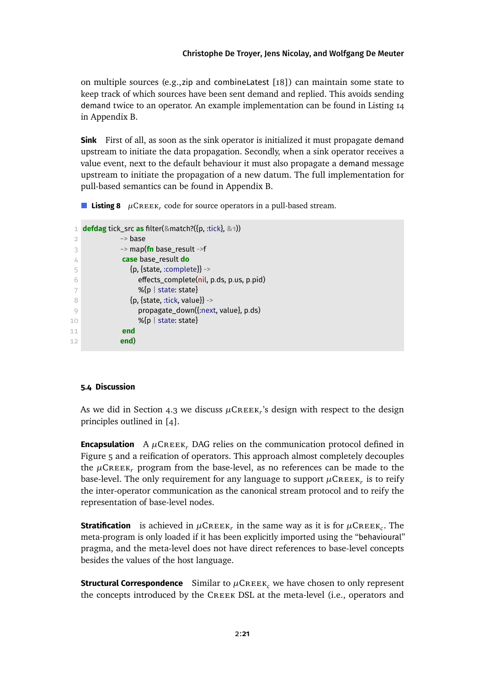on multiple sources (e.g.,zip and combineLatest [\[18\]](#page-28-2)) can maintain some state to keep track of which sources have been sent demand and replied. This avoids sending demand twice to an operator. An example implementation can be found in [Listing 14](#page-34-0) in [Appendix B.](#page-31-0)

**Sink** First of all, as soon as the sink operator is initialized it must propagate demand upstream to initiate the data propagation. Secondly, when a sink operator receives a value event, next to the default behaviour it must also propagate a demand message upstream to initiate the propagation of a new datum. The full implementation for pull-based semantics can be found in [Appendix B.](#page-31-0)

<span id="page-20-0"></span>**Listing 8**  $\mu$ CREEK<sub>r</sub> code for source operators in a pull-based stream.

```
1 defdag tick_src as filter(&match?({p, :tick}, &1))
2 \rightarrow \text{base}3 ~> map(fn base_result ->f
4 case base_result do
5 \{p, \{\text{state}, \text{:complete}\}\} ->
6 effects_complete(nil, p.ds, p.us, p.pid)
7 %\{p \mid state: state\}8 {p, {state, :tick, value}} ->
9 propagate_down({:next, value}, p.ds)
10 %{p | state: state}
11 end
12 end)
```
### **5.4 Discussion**

As we did in [Section 4.3](#page-16-0) we discuss  $\mu$ CREEK<sub>r</sub>'s design with respect to the design principles outlined in [\[4\]](#page-26-2).

**Encapsulation** A  $\mu$ CREEK, DAG relies on the communication protocol defined in [Figure 5](#page-18-2) and a reification of operators. This approach almost completely decouples the  $\mu$ CREEK<sub>r</sub> program from the base-level, as no references can be made to the base-level. The only requirement for any language to support  $\mu$ C $\kappa$ e $\kappa_r$  is to reify the inter-operator communication as the canonical stream protocol and to reify the representation of base-level nodes.

**Stratification** is achieved in  $\mu$ CREEK<sub>r</sub> in the same way as it is for  $\mu$ CREEK<sub>c</sub>. The meta-program is only loaded if it has been explicitly imported using the "behavioural" pragma, and the meta-level does not have direct references to base-level concepts besides the values of the host language.

**Structural Correspondence** Similar to  $\mu$ CREEK<sub>c</sub> we have chosen to only represent the concepts introduced by the Creek DSL at the meta-level (i.e., operators and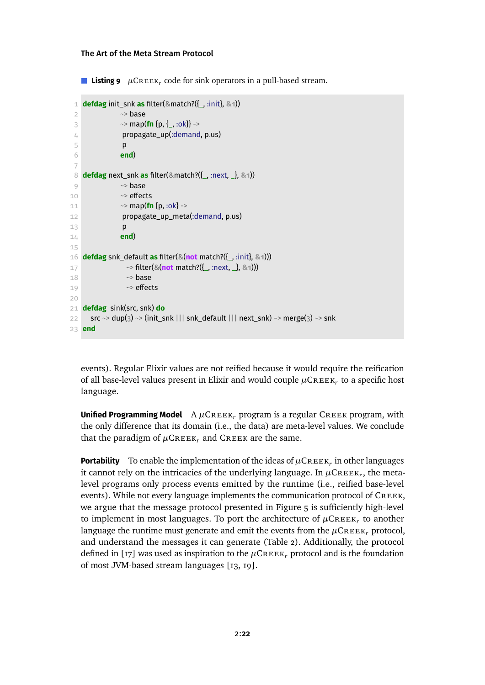**Listing 9**  $\mu$ CREEK<sub>r</sub> code for sink operators in a pull-based stream.

```
1 defdag init_snk as filter(&match?({_, :init}, &1))
 2 \rightarrow \text{base}3 \rightarrow map(fn {p, {_, :ok}} ->
 4 propagate_up(:demand, p.us)
 5 p
 6 end)
 7
8 defdag next_snk as filter(&match?({_, :next, _}, &1))
9 \rightarrow base10 \sim effects
11 \sim map(fn {p, :ok} ->
12 propagate_up_meta(:demand, p.us)
13 p
14 end)
15
16 defdag snk_default as filter(&(not match?({_, :init}, &1)))
17 ~> filter(&(not match?({_, :next, _}, &1)))
18 ** ** ** base
19 \sim effects
20
21 defdag sink(src, snk) do
22 src ~> dup(3) ~> (init_snk ||| snk_default ||| next_snk) ~> merge(3) ~> snk
23 end
```
events). Regular Elixir values are not reified because it would require the reification of all base-level values present in Elixir and would couple  $\mu$ CREEK<sub>r</sub> to a specific host language.

**Unified Programming Model** A µCREEK, program is a regular CREEK program, with the only difference that its domain (i.e., the data) are meta-level values. We conclude that the paradigm of  $\mu$ CREEK<sub>r</sub> and CREEK are the same.

**Portability** To enable the implementation of the ideas of  $\mu$ CREEK<sub>r</sub> in other languages it cannot rely on the intricacies of the underlying language. In  $\mu$ CREEK<sub>r</sub>, the metalevel programs only process events emitted by the runtime (i.e., reified base-level events). While not every language implements the communication protocol of CREEK, we argue that the message protocol presented in [Figure 5](#page-18-2) is sufficiently high-level to implement in most languages. To port the architecture of  $\mu$ CREEK<sub>r</sub> to another language the runtime must generate and emit the events from the  $\mu$ CREEK<sub>r</sub> protocol, and understand the messages it can generate [\(Table 2\)](#page-19-1). Additionally, the protocol defined in [\[17\]](#page-28-7) was used as inspiration to the  $\mu$ CREEK<sub>r</sub> protocol and is the foundation of most JVM-based stream languages [\[13,](#page-27-5) [19\]](#page-28-9).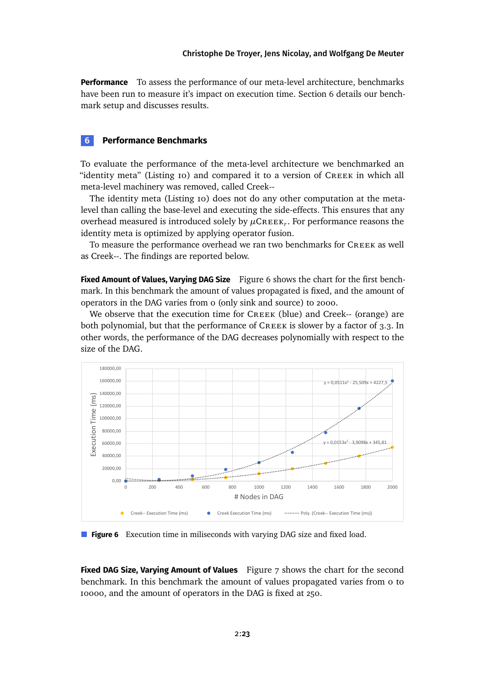**Performance** To assess the performance of our meta-level architecture, benchmarks have been run to measure it's impact on execution time. [Section 6](#page-22-0) details our benchmark setup and discusses results.

# <span id="page-22-0"></span>**6 Performance Benchmarks**

To evaluate the performance of the meta-level architecture we benchmarked an "identity meta" [\(Listing 10\)](#page-24-0) and compared it to a version of CREEK in which all meta-level machinery was removed, called Creek--

The identity meta [\(Listing 10\)](#page-24-0) does not do any other computation at the metalevel than calling the base-level and executing the side-effects. This ensures that any overhead measured is introduced solely by  $\mu$ CREEK<sub>r</sub>. For performance reasons the identity meta is optimized by applying operator fusion.

To measure the performance overhead we ran two benchmarks for CREEK as well as Creek--. The findings are reported below.

**Fixed Amount of Values, Varying DAG Size** [Figure 6](#page-22-1) shows the chart for the first benchmark. In this benchmark the amount of values propagated is fixed, and the amount of operators in the DAG varies from 0 (only sink and source) to 2000.

We observe that the execution time for CREEK (blue) and Creek-- (orange) are both polynomial, but that the performance of  $\mathsf{CREE}$  is slower by a factor of 3.3. In other words, the performance of the DAG decreases polynomially with respect to the size of the DAG.

<span id="page-22-1"></span>

**Figure 6** Execution time in miliseconds with varying DAG size and fixed load.

**Fixed DAG Size, Varying Amount of Values** [Figure 7](#page-23-1) shows the chart for the second benchmark. In this benchmark the amount of values propagated varies from 0 to 10000, and the amount of operators in the DAG is fixed at 250.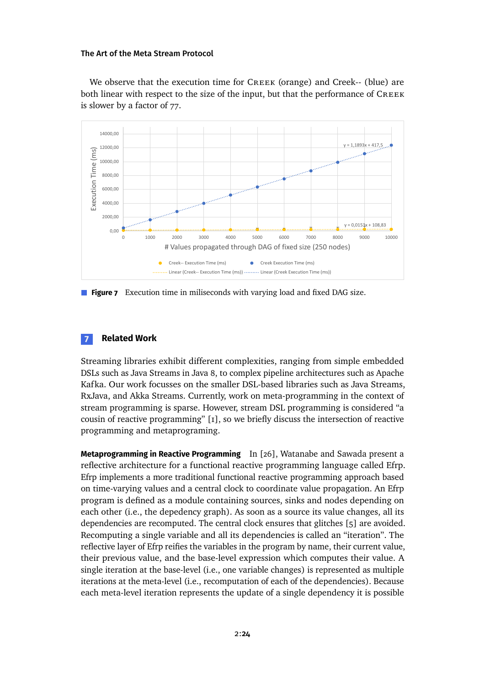We observe that the execution time for CREEK (orange) and Creek-- (blue) are both linear with respect to the size of the input, but that the performance of CREEK is slower by a factor of 77.

<span id="page-23-1"></span>

**Figure 7** Execution time in miliseconds with varying load and fixed DAG size.

# <span id="page-23-0"></span>**7 Related Work**

Streaming libraries exhibit different complexities, ranging from simple embedded DSLs such as Java Streams in Java 8, to complex pipeline architectures such as Apache Kafka. Our work focusses on the smaller DSL-based libraries such as Java Streams, RxJava, and Akka Streams. Currently, work on meta-programming in the context of stream programming is sparse. However, stream DSL programming is considered "a cousin of reactive programming" [\[1\]](#page-26-0), so we briefly discuss the intersection of reactive programming and metaprograming.

**Metaprogramming in Reactive Programming** In [\[26\]](#page-28-10), Watanabe and Sawada present a reflective architecture for a functional reactive programming language called Efrp. Efrp implements a more traditional functional reactive programming approach based on time-varying values and a central clock to coordinate value propagation. An Efrp program is defined as a module containing sources, sinks and nodes depending on each other (i.e., the depedency graph). As soon as a source its value changes, all its dependencies are recomputed. The central clock ensures that glitches [\[5\]](#page-26-3) are avoided. Recomputing a single variable and all its dependencies is called an "iteration". The reflective layer of Efrp reifies the variables in the program by name, their current value, their previous value, and the base-level expression which computes their value. A single iteration at the base-level (i.e., one variable changes) is represented as multiple iterations at the meta-level (i.e., recomputation of each of the dependencies). Because each meta-level iteration represents the update of a single dependency it is possible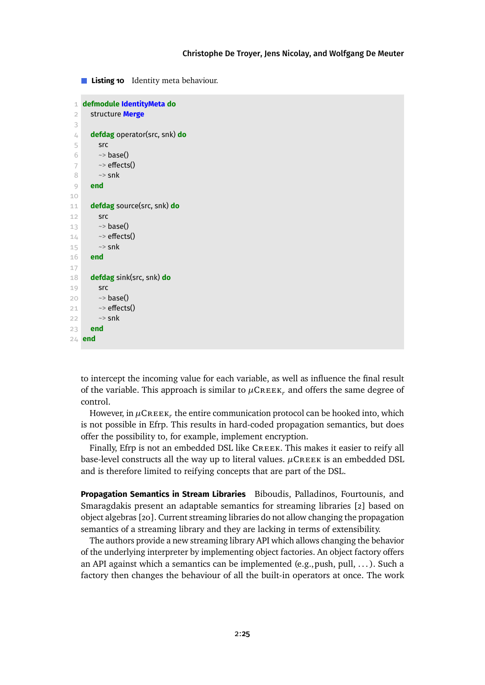<span id="page-24-0"></span>**Listing 10** Identity meta behaviour.

```
1 defmodule IdentityMeta do
 2 structure Merge
 3
 4 defdag operator(src, snk) do
 5 src
 6 \rightarrow base()7 \rightarrow effects()
 8 \rightarrowsnk
 9 end
10
11 defdag source(src, snk) do
12 src
13 \sim base()
14 \rightarrow effects()
15 \sim snk
16 end
17
18 defdag sink(src, snk) do
19 src
20 \rightarrow base()21 \rightarrow effects()
22 \rightarrow snk
23 end
24 end
```
to intercept the incoming value for each variable, as well as influence the final result of the variable. This approach is similar to  $\mu$ CREEK, and offers the same degree of control.

However, in  $\mu$ C $\kappa$  ex $\kappa_r$  the entire communication protocol can be hooked into, which is not possible in Efrp. This results in hard-coded propagation semantics, but does offer the possibility to, for example, implement encryption.

Finally, Efrp is not an embedded DSL like Creek. This makes it easier to reify all base-level constructs all the way up to literal values.  $\mu$ CREEK is an embedded DSL and is therefore limited to reifying concepts that are part of the DSL.

**Propagation Semantics in Stream Libraries** Biboudis, Palladinos, Fourtounis, and Smaragdakis present an adaptable semantics for streaming libraries [\[2\]](#page-26-1) based on object algebras [\[20\]](#page-28-4). Current streaming libraries do not allow changing the propagation semantics of a streaming library and they are lacking in terms of extensibility.

The authors provide a new streaming library API which allows changing the behavior of the underlying interpreter by implementing object factories. An object factory offers an API against which a semantics can be implemented (e.g., push, pull,  $\dots$ ). Such a factory then changes the behaviour of all the built-in operators at once. The work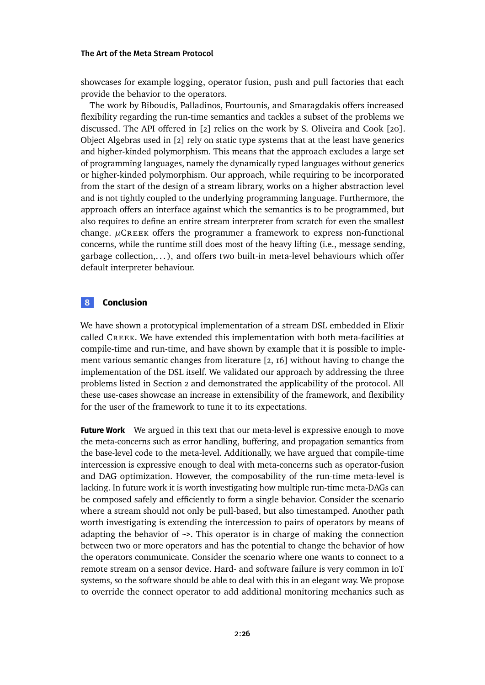showcases for example logging, operator fusion, push and pull factories that each provide the behavior to the operators.

The work by Biboudis, Palladinos, Fourtounis, and Smaragdakis offers increased flexibility regarding the run-time semantics and tackles a subset of the problems we discussed. The API offered in [\[2\]](#page-26-1) relies on the work by S. Oliveira and Cook [\[20\]](#page-28-4). Object Algebras used in [\[2\]](#page-26-1) rely on static type systems that at the least have generics and higher-kinded polymorphism. This means that the approach excludes a large set of programming languages, namely the dynamically typed languages without generics or higher-kinded polymorphism. Our approach, while requiring to be incorporated from the start of the design of a stream library, works on a higher abstraction level and is not tightly coupled to the underlying programming language. Furthermore, the approach offers an interface against which the semantics is to be programmed, but also requires to define an entire stream interpreter from scratch for even the smallest change.  $\mu$ CREEK offers the programmer a framework to express non-functional concerns, while the runtime still does most of the heavy lifting (i.e., message sending, garbage collection,... ), and offers two built-in meta-level behaviours which offer default interpreter behaviour.

# <span id="page-25-0"></span>**8 Conclusion**

We have shown a prototypical implementation of a stream DSL embedded in Elixir called Creek. We have extended this implementation with both meta-facilities at compile-time and run-time, and have shown by example that it is possible to implement various semantic changes from literature [\[2,](#page-26-1) [16\]](#page-28-11) without having to change the implementation of the DSL itself. We validated our approach by addressing the three problems listed in [Section 2](#page-2-0) and demonstrated the applicability of the protocol. All these use-cases showcase an increase in extensibility of the framework, and flexibility for the user of the framework to tune it to its expectations.

**Future Work** We argued in this text that our meta-level is expressive enough to move the meta-concerns such as error handling, buffering, and propagation semantics from the base-level code to the meta-level. Additionally, we have argued that compile-time intercession is expressive enough to deal with meta-concerns such as operator-fusion and DAG optimization. However, the composability of the run-time meta-level is lacking. In future work it is worth investigating how multiple run-time meta-DAGs can be composed safely and efficiently to form a single behavior. Consider the scenario where a stream should not only be pull-based, but also timestamped. Another path worth investigating is extending the intercession to pairs of operators by means of adapting the behavior of ~>. This operator is in charge of making the connection between two or more operators and has the potential to change the behavior of how the operators communicate. Consider the scenario where one wants to connect to a remote stream on a sensor device. Hard- and software failure is very common in IoT systems, so the software should be able to deal with this in an elegant way. We propose to override the connect operator to add additional monitoring mechanics such as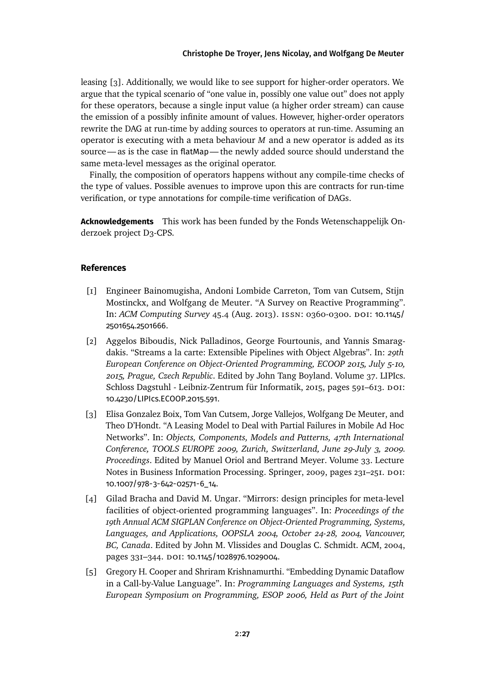leasing [\[3\]](#page-26-4). Additionally, we would like to see support for higher-order operators. We argue that the typical scenario of "one value in, possibly one value out" does not apply for these operators, because a single input value (a higher order stream) can cause the emission of a possibly infinite amount of values. However, higher-order operators rewrite the DAG at run-time by adding sources to operators at run-time. Assuming an operator is executing with a meta behaviour *M* and a new operator is added as its source—as is the case in flatMap—the newly added source should understand the same meta-level messages as the original operator.

Finally, the composition of operators happens without any compile-time checks of the type of values. Possible avenues to improve upon this are contracts for run-time verification, or type annotations for compile-time verification of DAGs.

**Acknowledgements** This work has been funded by the Fonds Wetenschappelijk Onderzoek project D3-CPS.

### **References**

- <span id="page-26-0"></span>[1] Engineer Bainomugisha, Andoni Lombide Carreton, Tom van Cutsem, Stijn Mostinckx, and Wolfgang de Meuter. "A Survey on Reactive Programming". In: *ACM Computing Survey* 45.4 (Aug. 2013). issn: 0360-0300. doi: [10.1145/](https://doi.org/10.1145/2501654.2501666) [2501654.2501666](https://doi.org/10.1145/2501654.2501666).
- <span id="page-26-1"></span>[2] Aggelos Biboudis, Nick Palladinos, George Fourtounis, and Yannis Smaragdakis. "Streams a la carte: Extensible Pipelines with Object Algebras". In: *29th European Conference on Object-Oriented Programming, ECOOP 2015, July 5-10, 2015, Prague, Czech Republic*. Edited by John Tang Boyland. Volume 37. LIPIcs. Schloss Dagstuhl - Leibniz-Zentrum für Informatik, 2015, pages 591–613. DOI: [10.4230/LIPIcs.ECOOP.2015.591](https://doi.org/10.4230/LIPIcs.ECOOP.2015.591).
- <span id="page-26-4"></span>[3] Elisa Gonzalez Boix, Tom Van Cutsem, Jorge Vallejos, Wolfgang De Meuter, and Theo D'Hondt. "A Leasing Model to Deal with Partial Failures in Mobile Ad Hoc Networks". In: *Objects, Components, Models and Patterns, 47th International Conference, TOOLS EUROPE 2009, Zurich, Switzerland, June 29-July 3, 2009. Proceedings*. Edited by Manuel Oriol and Bertrand Meyer. Volume 33. Lecture Notes in Business Information Processing. Springer, 2009, pages 231–251. doi: [10.1007/978-3-642-02571-6\\_14](https://doi.org/10.1007/978-3-642-02571-6_14).
- <span id="page-26-2"></span>[4] Gilad Bracha and David M. Ungar. "Mirrors: design principles for meta-level facilities of object-oriented programming languages". In: *Proceedings of the 19th Annual ACM SIGPLAN Conference on Object-Oriented Programming, Systems, Languages, and Applications, OOPSLA 2004, October 24-28, 2004, Vancouver, BC, Canada*. Edited by John M. Vlissides and Douglas C. Schmidt. ACM, 2004, pages 331-344. DOI: [10.1145/1028976.1029004](https://doi.org/10.1145/1028976.1029004).
- <span id="page-26-3"></span>[5] Gregory H. Cooper and Shriram Krishnamurthi. "Embedding Dynamic Dataflow in a Call-by-Value Language". In: *Programming Languages and Systems, 15th European Symposium on Programming, ESOP 2006, Held as Part of the Joint*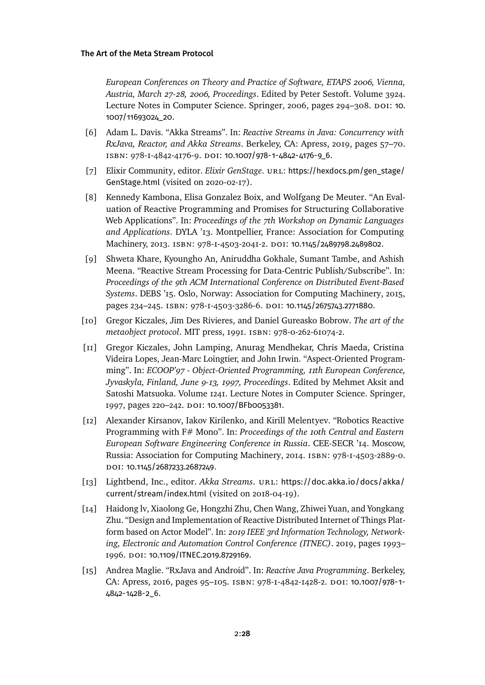*European Conferences on Theory and Practice of Software, ETAPS 2006, Vienna, Austria, March 27-28, 2006, Proceedings*. Edited by Peter Sestoft. Volume 3924. Lecture Notes in Computer Science. Springer, 2006, pages 294-308. DOI: [10.](https://doi.org/10.1007/11693024_20) [1007/11693024\\_20](https://doi.org/10.1007/11693024_20).

- <span id="page-27-9"></span>[6] Adam L. Davis. "Akka Streams". In: *Reactive Streams in Java: Concurrency with RxJava, Reactor, and Akka Streams*. Berkeley, CA: Apress, 2019, pages 57–70. isbn: 978-1-4842-4176-9. doi: [10.1007/978-1-4842-4176-9\\_6](https://doi.org/10.1007/978-1-4842-4176-9_6).
- <span id="page-27-6"></span>[7] Elixir Community, editor. *Elixir GenStage*. URL: [https://hexdocs.pm/gen\\_stage/](https://hexdocs.pm/gen_stage/GenStage.html) [GenStage.html](https://hexdocs.pm/gen_stage/GenStage.html) (visited on 2020-02-17).
- <span id="page-27-0"></span>[8] Kennedy Kambona, Elisa Gonzalez Boix, and Wolfgang De Meuter. "An Evaluation of Reactive Programming and Promises for Structuring Collaborative Web Applications". In: *Proceedings of the 7th Workshop on Dynamic Languages and Applications*. DYLA '13. Montpellier, France: Association for Computing Machinery, 2013. ISBN: 978-1-4503-2041-2. DOI: [10.1145/2489798.2489802](https://doi.org/10.1145/2489798.2489802).
- <span id="page-27-2"></span>[9] Shweta Khare, Kyoungho An, Aniruddha Gokhale, Sumant Tambe, and Ashish Meena. "Reactive Stream Processing for Data-Centric Publish/Subscribe". In: *Proceedings of the 9th ACM International Conference on Distributed Event-Based Systems*. DEBS '15. Oslo, Norway: Association for Computing Machinery, 2015, pages 234-245. ISBN: 978-I-4503-3286-6. DOI: [10.1145/2675743.2771880](https://doi.org/10.1145/2675743.2771880).
- <span id="page-27-7"></span>[10] Gregor Kiczales, Jim Des Rivieres, and Daniel Gureasko Bobrow. *The art of the metaobject protocol*. MIT press, 1991. isbn: 978-0-262-61074-2.
- <span id="page-27-8"></span>[11] Gregor Kiczales, John Lamping, Anurag Mendhekar, Chris Maeda, Cristina Videira Lopes, Jean-Marc Loingtier, and John Irwin. "Aspect-Oriented Programming". In: *ECOOP'97 - Object-Oriented Programming, 11th European Conference, Jyvaskyla, Finland, June 9-13, 1997, Proceedings*. Edited by Mehmet Aksit and Satoshi Matsuoka. Volume 1241. Lecture Notes in Computer Science. Springer, 1997, pages 220-242. DOI: [10.1007/BFb0053381](https://doi.org/10.1007/BFb0053381).
- <span id="page-27-4"></span>[12] Alexander Kirsanov, Iakov Kirilenko, and Kirill Melentyev. "Robotics Reactive Programming with F# Mono". In: *Proceedings of the 10th Central and Eastern European Software Engineering Conference in Russia*. CEE-SECR '14. Moscow, Russia: Association for Computing Machinery, 2014. isbn: 978-1-4503-2889-0. DOI: [10.1145/2687233.2687249](https://doi.org/10.1145/2687233.2687249).
- <span id="page-27-5"></span>[13] Lightbend, Inc., editor. Akka Streams. URL: [https://doc.akka.io/docs/akka/](https://doc.akka.io/docs/akka/current/stream/index.html) [current/stream/index.html](https://doc.akka.io/docs/akka/current/stream/index.html) (visited on 2018-04-19).
- <span id="page-27-3"></span>[14] Haidong lv, Xiaolong Ge, Hongzhi Zhu, Chen Wang, Zhiwei Yuan, and Yongkang Zhu. "Design and Implementation of Reactive Distributed Internet of Things Platform based on Actor Model". In: *2019 IEEE 3rd Information Technology, Networking, Electronic and Automation Control Conference (ITNEC)*. 2019, pages 1993– 1996. doi: [10.1109/ITNEC.2019.8729169](https://doi.org/10.1109/ITNEC.2019.8729169).
- <span id="page-27-1"></span>[15] Andrea Maglie. "RxJava and Android". In: *Reactive Java Programming*. Berkeley, CA: Apress, 2016, pages 95–105. isbn: 978-1-4842-1428-2. doi: [10.1007/978-1-](https://doi.org/10.1007/978-1-4842-1428-2_6) [4842-1428-2\\_6](https://doi.org/10.1007/978-1-4842-1428-2_6).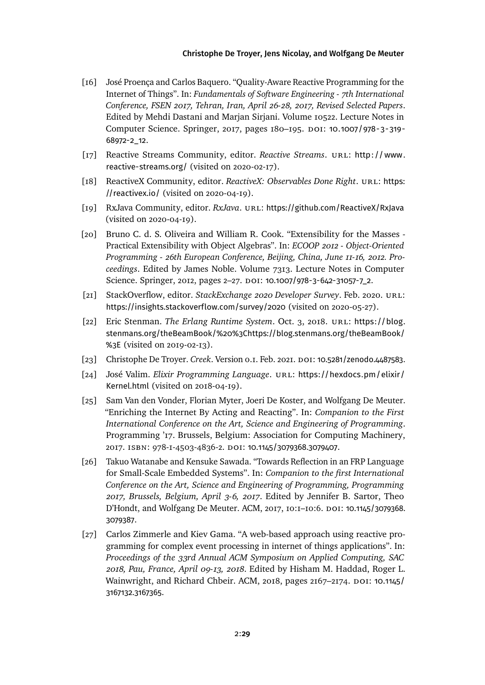- <span id="page-28-11"></span>[16] José Proença and Carlos Baquero. "Quality-Aware Reactive Programming for the Internet of Things". In: *Fundamentals of Software Engineering - 7th International Conference, FSEN 2017, Tehran, Iran, April 26-28, 2017, Revised Selected Papers*. Edited by Mehdi Dastani and Marjan Sirjani. Volume 10522. Lecture Notes in Computer Science. Springer, 2017, pages 180-195. DOI: [10.1007/978-3-319-](https://doi.org/10.1007/978-3-319-68972-2_12) [68972-2\\_12](https://doi.org/10.1007/978-3-319-68972-2_12).
- <span id="page-28-7"></span>[17] Reactive Streams Community, editor. *Reactive Streams*. URL: http://www. [reactive-streams.org/](http://www.reactive-streams.org/) (visited on 2020-02-17).
- <span id="page-28-2"></span>[18] ReactiveX Community, editor. *ReactiveX: Observables Done Right*. url: [https:](https://reactivex.io/) [//reactivex.io/](https://reactivex.io/) (visited on 2020-04-19).
- <span id="page-28-9"></span>[19] RxJava Community, editor. *RxJava*. url: <https://github.com/ReactiveX/RxJava> (visited on 2020-04-19).
- <span id="page-28-4"></span>[20] Bruno C. d. S. Oliveira and William R. Cook. "Extensibility for the Masses - Practical Extensibility with Object Algebras". In: *ECOOP 2012 - Object-Oriented Programming - 26th European Conference, Beijing, China, June 11-16, 2012. Proceedings*. Edited by James Noble. Volume 7313. Lecture Notes in Computer Science. Springer, 2012, pages 2-27. DOI: [10.1007/978-3-642-31057-7\\_2](https://doi.org/10.1007/978-3-642-31057-7_2).
- <span id="page-28-3"></span>[21] StackOverflow, editor. *StackExchange 2020 Developer Survey*. Feb. 2020. url: <https://insights.stackoverflow.com/survey/2020> (visited on 2020-05-27).
- <span id="page-28-6"></span>[22] Eric Stenman. *The Erlang Runtime System*. Oct. 3, 2018. url: [https://blog.](https://blog.stenmans.org/theBeamBook/%20%3Chttps://blog.stenmans.org/theBeamBook/%3E) [stenmans.org/theBeamBook/%20%3Chttps://blog.stenmans.org/theBeamBook/](https://blog.stenmans.org/theBeamBook/%20%3Chttps://blog.stenmans.org/theBeamBook/%3E) [%3E](https://blog.stenmans.org/theBeamBook/%20%3Chttps://blog.stenmans.org/theBeamBook/%3E) (visited on 2019-02-13).
- <span id="page-28-8"></span>[23] Christophe De Troyer. *Creek*. Version 0.1. Feb. 2021. DOI: [10.5281/zenodo.4487583](https://doi.org/10.5281/zenodo.4487583).
- <span id="page-28-5"></span>[24] José Valim. *Elixir Programming Language*. URL: [https://hexdocs.pm/elixir/](https://hexdocs.pm/elixir/Kernel.html) [Kernel.html](https://hexdocs.pm/elixir/Kernel.html) (visited on 2018-04-19).
- <span id="page-28-0"></span>[25] Sam Van den Vonder, Florian Myter, Joeri De Koster, and Wolfgang De Meuter. "Enriching the Internet By Acting and Reacting". In: *Companion to the First International Conference on the Art, Science and Engineering of Programming*. Programming '17. Brussels, Belgium: Association for Computing Machinery, 2017. isbn: 978-1-4503-4836-2. doi: [10.1145/3079368.3079407](https://doi.org/10.1145/3079368.3079407).
- <span id="page-28-10"></span>[26] Takuo Watanabe and Kensuke Sawada. "Towards Reflection in an FRP Language for Small-Scale Embedded Systems". In: *Companion to the first International Conference on the Art, Science and Engineering of Programming, Programming 2017, Brussels, Belgium, April 3-6, 2017*. Edited by Jennifer B. Sartor, Theo D'Hondt, and Wolfgang De Meuter. ACM, 2017, 10:1–10:6. doi: [10.1145/3079368.](https://doi.org/10.1145/3079368.3079387) [3079387](https://doi.org/10.1145/3079368.3079387).
- <span id="page-28-1"></span>[27] Carlos Zimmerle and Kiev Gama. "A web-based approach using reactive programming for complex event processing in internet of things applications". In: *Proceedings of the 33rd Annual ACM Symposium on Applied Computing, SAC 2018, Pau, France, April 09-13, 2018*. Edited by Hisham M. Haddad, Roger L. Wainwright, and Richard Chbeir. ACM, 2018, pages 2167-2174. DOI: [10.1145/](https://doi.org/10.1145/3167132.3167365) [3167132.3167365](https://doi.org/10.1145/3167132.3167365).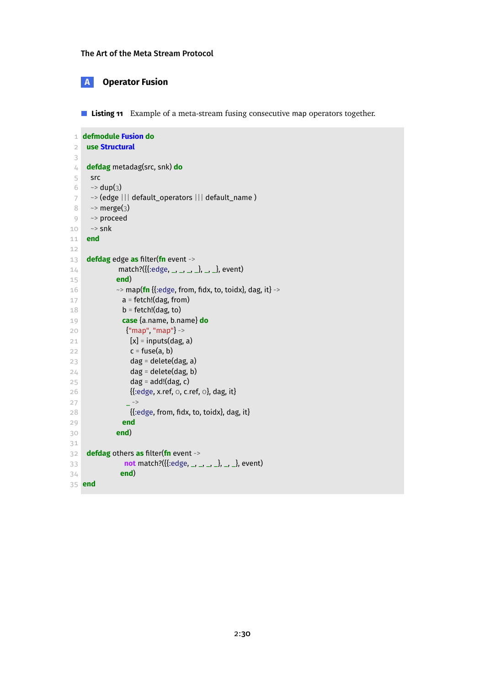# <span id="page-29-1"></span>**A Operator Fusion**

<span id="page-29-0"></span>**Listing 11** Example of a meta-stream fusing consecutive map operators together.

```
1 defmodule Fusion do
2 use Structural
 3
4 defdag metadag(src, snk) do
5 src
6 \sim dup(3)
7 ~> (edge ||| default_operators ||| default_name )
8 ~> merge(3)
9 ~> proceed
10 \sim snk
11 end
12
13 defdag edge as filter(fn event ->
14 match?({{:edge, _, _, _, _}, _, _}, event)
15 end)
16 \rightarrow map(fn {{:edge, from, fidx, to, toidx}, dag, it} ->
17 a = fetch!(dag, from)
18 b = fetch!(dag, to)
19 case {a.name, b.name} do
20 {"map", "map"} ->
21 [x] = inputs(dag, a)
22 c = fuse(a, b)
23 dag = delete(dag, a)
24 dag = delete(dag, b)
25 dag = add!(dag, c)
26 {{:edge, x.ref, 0, c.ref, 0}, dag, it}
27 ->
28 {{:edge, from, fidx, to, toidx}, dag, it}
29 end
30 end)
31
32 defdag others as filter(fn event ->
33 not match?({{:edge, _, _, _, _}, _, _}, event)
34 end)
35 end
```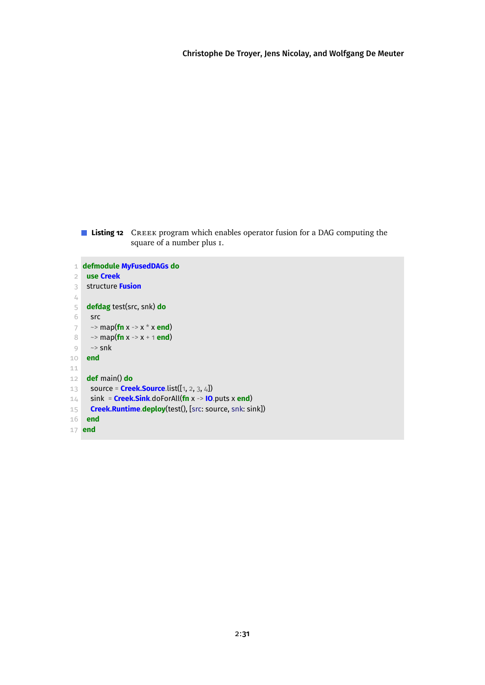**Listing 12** CREEK program which enables operator fusion for a DAG computing the square of a number plus 1.

```
1 defmodule MyFusedDAGs do
 2 use Creek
 3 structure Fusion
 \angle \! \! \! \perp5 defdag test(src, snk) do
 6 src
 7 ~> map(fn x -> x * x end)
 8 ~> map(fn x -> x + 1 end)
9 \rightarrowsnk
10 end
11
12 def main() do
13 source = Creek.Source.list([1, 2, 3, 4])
14 sink = Creek.Sink.doForAll(fn x -> IO.puts x end)
15 Creek.Runtime.deploy(test(), [src: source, snk: sink])
16 end
17 end
```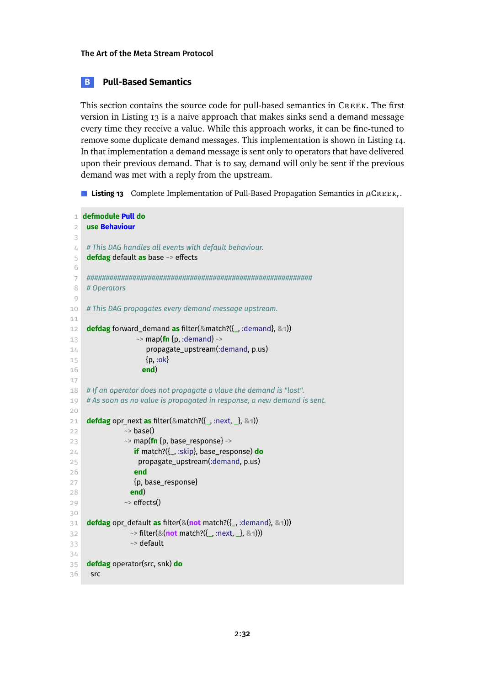# <span id="page-31-0"></span>**B Pull-Based Semantics**

This section contains the source code for pull-based semantics in Creek. The first version in [Listing 13](#page-31-1) is a naive approach that makes sinks send a demand message every time they receive a value. While this approach works, it can be fine-tuned to remove some duplicate demand messages. This implementation is shown in [Listing 14.](#page-34-0) In that implementation a demand message is sent only to operators that have delivered upon their previous demand. That is to say, demand will only be sent if the previous demand was met with a reply from the upstream.

<span id="page-31-1"></span>**Listing 13** Complete Implementation of Pull-Based Propagation Semantics in  $\mu$ CREEK,.

```
1 defmodule Pull do
 2 use Behaviour
 3
 4 # This DAG handles all events with default behaviour.
 5 defdag default as base ~> effects
 6
 7 ###########################################################
 8 # Operators
 9
10 # This DAG propagates every demand message upstream.
11
12 defdag forward_demand as filter(&match?({_, :demand}, &1))
13 \rightarrow map(fn {p, :demand} ->
14 propagate_upstream(:demand, p.us)
15 \{p, : \text{ok}\}16 end)
17
18 # If an operator does not propagate a vlaue the demand is "lost".
19 # As soon as no value is propagated in response, a new demand is sent.
2021 defdag opr_next as filter(&match?({_, :next, _}, &1))
22 \sim base()
23 ~> map(fn {p, base_response} ->
24 if match?({_, :skip}, base_response) do
25 propagate_upstream(:demand, p.us)
26 end
27 {p, base_response}
28 end)
29 \rightarrow effects()
30
31 defdag opr_default as filter(&(not match?({_, :demand}, &1)))
32 ~> filter(&(not match?({_, :next, _}, &1)))
33 \rightarrow default
34
35 defdag operator(src, snk) do
36 src
```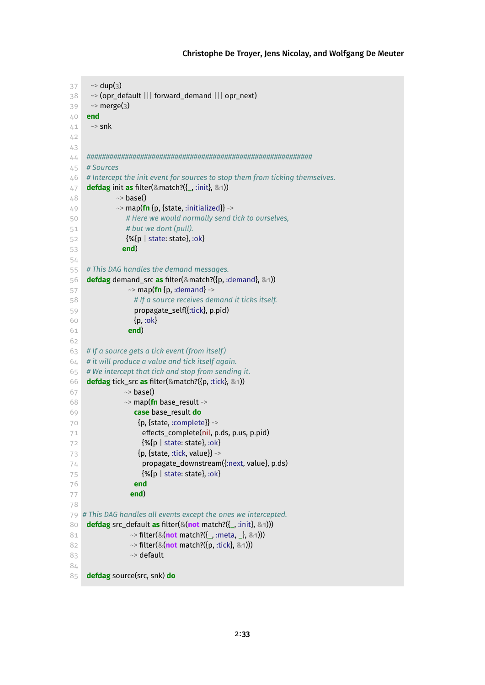```
37 ~> dup(3)
38 ~> (opr_default ||| forward_demand ||| opr_next)
39 \rightarrow merge(3)
40 end
41 \rightarrowsnk
42
43
44 ###########################################################
45 # Sources
46 # Intercept the init event for sources to stop them from ticking themselves.
47 defdag init as filter(&match?({_, :init}, &1))
48 \sim base()
49 ~> map(fn {p, {state, :initialized}} ->
50 # Here we would normally send tick to ourselves,
51 # but we dont (pull).
52 {%{p | state: state}, :ok}
53 end)
54
55 # This DAG handles the demand messages.
56 defdag demand_src as filter(&match?({p, :demand}, &1))
57 \sim map(fn {p, :demand} ->
58 # If a source receives demand it ticks itself.
59 propagate_self({:tick}, p.pid)
60 {p, :ok}
61 end)
62
63 # If a source gets a tick event (from itself )
64 # it will produce a value and tick itself again.
65 # We intercept that tick and stop from sending it.
66 defdag tick_src as filter(&match?({p, :tick}, &1))
67 \sim base()
68 ~> map(fn base_result ->
69 case base_result do
70 {p, {state, :complete}} ->
71 effects_complete(nil, p.ds, p.us, p.pid)
72 {%{p | state: state}, :ok}
73 {p, {state, :tick, value}} ->
74 propagate_downstream({:next, value}, p.ds)
75 {%{p | state: state}, :ok}
76 end
77 end)
78
79 # This DAG handles all events except the ones we intercepted.
80 defdag src_default as filter(&(not match?({_, :init}, &1)))
81 ~> filter(&(not match?({_, :meta, _}, &1)))
82 ~> filter(&(not match?({p, :tick}, &1)))
83 ** ** default
84
85 defdag source(src, snk) do
```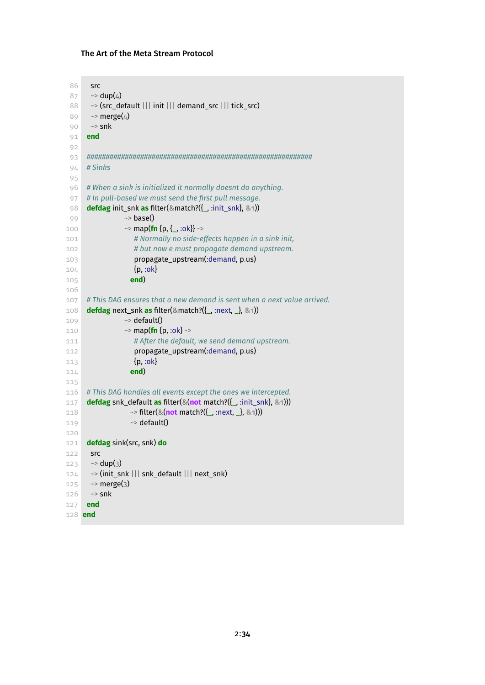```
86 src
 87 \sim dup(4)
 88 ~> (src_default ||| init ||| demand_src ||| tick_src)
 89 \rightarrow merge(4)
 90 ~> snk
 91 end
 92
 93 ###########################################################
 94 # Sinks
 95
 96 # When a sink is initialized it normally doesnt do anything.
 97 # In pull-based we must send the first pull message.
 98 defdag init_snk as filter(&match?({_, :init_snk}, &1))
 99 ~> base()
100 \sim map(fn {p, { , :ok}} ->
101 # Normally no side-eects happen in a sink init,
102 # but now e must propagate demand upstream.
103 propagate_upstream(:demand, p.us)
104 {p, :ok}
105 end)
106
107 # This DAG ensures that a new demand is sent when a next value arrived.
108 defdag next_snk as filter(&match?({_, :next, _}, &1))
109 \rightarrow default()
110 \sim map(fn {p, :ok} ->
111 # After the default, we send demand upstream.
112 propagate_upstream(:demand, p.us)
113 {p, :ok}
114 end)
115
116 # This DAG handles all events except the ones we intercepted.
117 defdag snk_default as filter(&(not match?({_, :init_snk}, &1)))
118 ~> filter(&(not match?({_, :next, _}, &1)))
119 \rightarrow default()
120
121 defdag sink(src, snk) do
122 src
123 \rightarrow dup(3)
124 ~> (init_snk ||| snk_default ||| next_snk)
125 \rightarrow merge(3)
126 \sim snk
127 end
128 end
```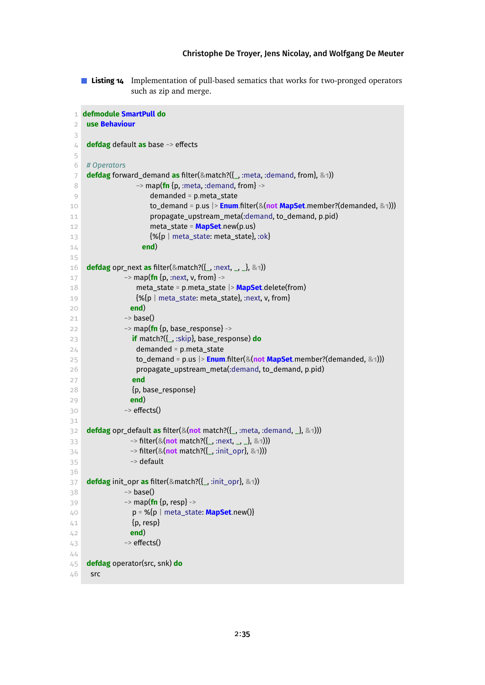**Listing 14** Implementation of pull-based sematics that works for two-pronged operators such as zip and merge.

```
1 defmodule SmartPull do
 2 use Behaviour
 3
4 defdag default as base ~> effects
5
6 # Operators
7 defdag forward_demand as filter(&match?({_, :meta, :demand, from}, &1))
8 ~> map(fn {p, :meta, :demand, from} ->
9 demanded = p.meta_state
10 to_demand = p.us |> Enum.filter(&(not MapSet.member?(demanded, &1)))
11 propagate_upstream_meta(:demand, to_demand, p.pid)
12 meta_state = MapSet.new(p.us)
13 {%{p | meta_state: meta_state}, :ok}
14 end)
15
16 defdag opr_next as filter(&match?({_, :next, _, _}, &1))
17 \sim map(fn {p, :next, v, from} ->
18 meta_state = p.meta_state |> MapSet.delete(from)
19 {%{p | meta_state: meta_state}, :next, v, from}
20 end)
21 \sim base()
22 \rightarrow map(fn {p, base_response} ->
23 if match?({_, :skip}, base_response) do
24 demanded = p.meta_state
25 to_demand = p.us |> Enum.filter(&(not MapSet.member?(demanded, &1)))
26 propagate_upstream_meta(:demand, to_demand, p.pid)
27 end
28 {p, base_response}
29 end)
30 \rightarrow effects()
31
32 defdag opr_default as filter(&(not match?({_, :meta, :demand, _}, &1)))
33 ~> filter(&(not match?({_, :next, _, _}, &1)))
34 ~> filter(&(not match?({_, :init_opr}, &1)))
35 \sim default
36
37 defdag init_opr as filter(&match?({_, :init_opr}, &1))
38 \sim base()
39 ~> map(fn {p, resp} ->
40 p = %{p | meta_state: MapSet.new()}
41 {p, resp}
42 end)
43 \sim effects()
4445 defdag operator(src, snk) do
46 src
```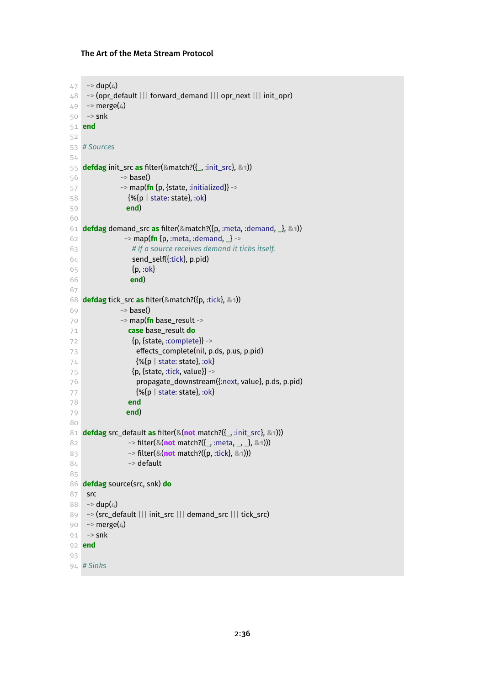```
47 \sim dup(4)
48 \rightarrow (opr_default ||| forward_demand ||| opr_next ||| init_opr)
49 \rightarrow merge(4)
50 ~> snk
51 end
52
53 # Sources
54
55 defdag init_src as filter(&match?({_, :init_src}, &1))
56 \sim base()
57 \sim map(fn {p, {state, :initialized}} ->
58 {%{p | state: state}, :ok}
59 end)
60
61 defdag demand_src as filter(&match?({p, :meta, :demand, _}, &1))
62 \sim map(fn {p, :meta, :demand, \frac{1}{2} ->
63 # If a source receives demand it ticks itself.
64 send_self({:tick}, p.pid)
65 {p, :ok}
66 end)
67
68 defdag tick_src as filter(&match?({p, :tick}, &1))
69 ~> base()
70 ~> map(fn base_result ->
71 case base_result do
72 {p, {state, :complete}} ->
73 effects_complete(nil, p.ds, p.us, p.pid)
74 {%{p | state: state}, :ok}75 \{p, \{\text{state}, \text{tick}, \text{value}\}\} ->
76 propagate_downstream({:next, value}, p.ds, p.pid)
77 {%{p | state: state}, :ok}78 end
79 end)
80
81 defdag src_default as filter(&(not match?({_, :init_src}, &1)))
82 ~> filter(&(not match?({_, :meta, _, _}, &1)))
83 ~> filter(&(not match?({p, :tick}, &1)))
84 ~> default
85
86 defdag source(src, snk) do
87 src
88 ~> dup(4)
89 ~> (src_default ||| init_src ||| demand_src ||| tick_src)
90 \sim merge(4)
91 \sim snk
92 end
93
94 # Sinks
```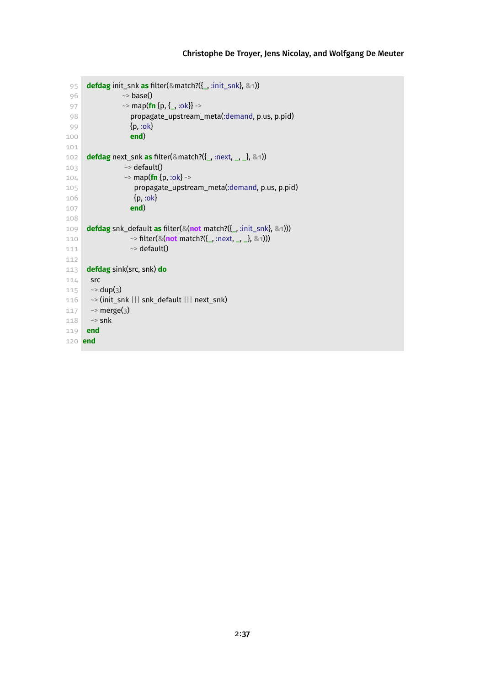```
95 defdag init_snk as filter(&match?({_, :init_snk}, &1))
96 \sim base()
97 ~> map(fn {p, {_, :ok}} ->
98 propagate_upstream_meta(:demand, p.us, p.pid)
99 {p, :ok}
100 end)
101
102 defdag next_snk as filter(&match?({_, :next, _, _}, &1))
103 ~> default()
104 \sim map(fn {p, :ok} ->
105 propagate_upstream_meta(:demand, p.us, p.pid)
106 {p, :ok}
107 end)
108
109 defdag snk_default as filter(&(not match?({_, :init_snk}, &1)))
110 ~> filter(&(not match?({_, :next, _, _}, &1)))
111 \sim default()
112
113 defdag sink(src, snk) do
114 src115 \sim dup(3)
116 ~> (init_snk ||| snk_default ||| next_snk)
117 \sim merge(3)
118 ~> snk
119 end
120 end
```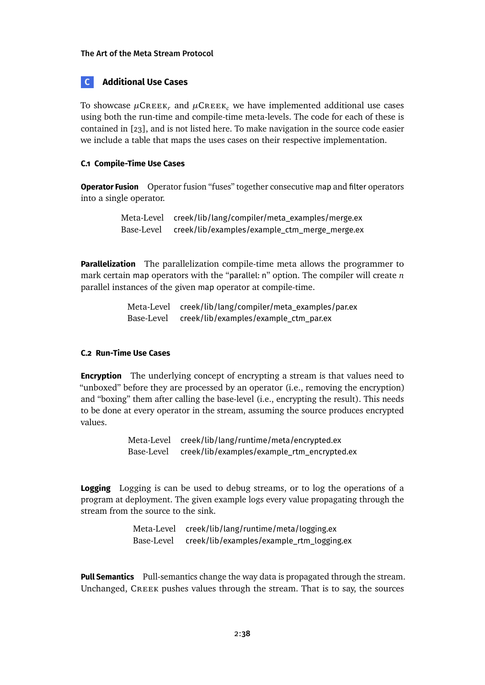# <span id="page-37-0"></span>**C Additional Use Cases**

To showcase  $\mu$ CREEK<sub>r</sub> and  $\mu$ CREEK<sub>c</sub> we have implemented additional use cases using both the run-time and compile-time meta-levels. The code for each of these is contained in [\[23\]](#page-28-8), and is not listed here. To make navigation in the source code easier we include a table that maps the uses cases on their respective implementation.

# **C.1 Compile-Time Use Cases**

**Operator Fusion** Operator fusion "fuses" together consecutive map and filter operators into a single operator.

> Meta-Level creek/lib/lang/compiler/meta\_examples/merge.ex Base-Level creek/lib/examples/example\_ctm\_merge\_merge.ex

**Parallelization** The parallelization compile-time meta allows the programmer to mark certain map operators with the "parallel: n" option. The compiler will create *n* parallel instances of the given map operator at compile-time.

> Meta-Level creek/lib/lang/compiler/meta\_examples/par.ex Base-Level creek/lib/examples/example\_ctm\_par.ex

# **C.2 Run-Time Use Cases**

**Encryption** The underlying concept of encrypting a stream is that values need to "unboxed" before they are processed by an operator (i.e., removing the encryption) and "boxing" them after calling the base-level (i.e., encrypting the result). This needs to be done at every operator in the stream, assuming the source produces encrypted values.

> Meta-Level creek/lib/lang/runtime/meta/encrypted.ex Base-Level creek/lib/examples/example\_rtm\_encrypted.ex

**Logging** Logging is can be used to debug streams, or to log the operations of a program at deployment. The given example logs every value propagating through the stream from the source to the sink.

> Meta-Level creek/lib/lang/runtime/meta/logging.ex Base-Level creek/lib/examples/example\_rtm\_logging.ex

**Pull Semantics** Pull-semantics change the way data is propagated through the stream. Unchanged, Creek pushes values through the stream. That is to say, the sources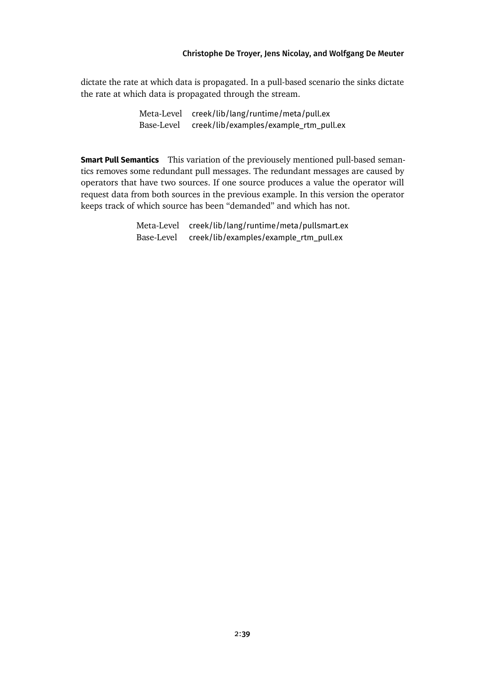dictate the rate at which data is propagated. In a pull-based scenario the sinks dictate the rate at which data is propagated through the stream.

> Meta-Level creek/lib/lang/runtime/meta/pull.ex Base-Level creek/lib/examples/example\_rtm\_pull.ex

**Smart Pull Semantics** This variation of the previousely mentioned pull-based semantics removes some redundant pull messages. The redundant messages are caused by operators that have two sources. If one source produces a value the operator will request data from both sources in the previous example. In this version the operator keeps track of which source has been "demanded" and which has not.

> Meta-Level creek/lib/lang/runtime/meta/pullsmart.ex Base-Level creek/lib/examples/example\_rtm\_pull.ex